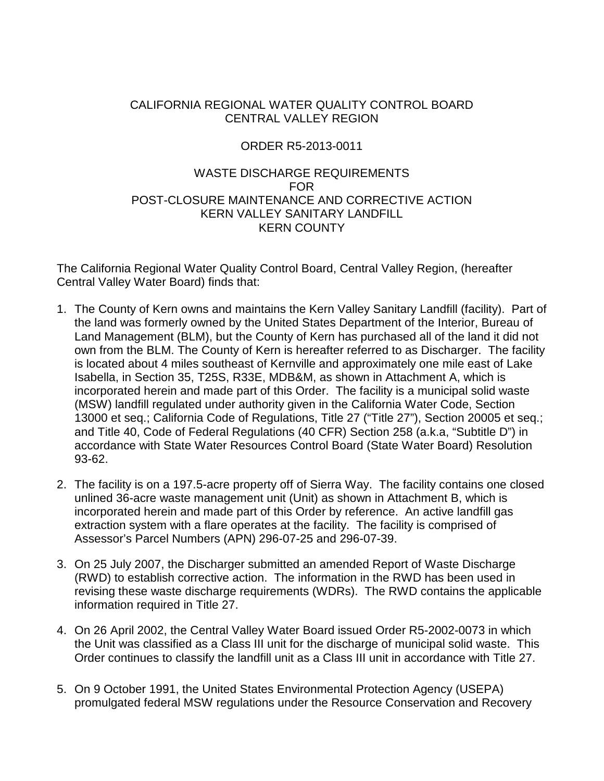# CALIFORNIA REGIONAL WATER QUALITY CONTROL BOARD CENTRAL VALLEY REGION

# ORDER R5-2013-0011

## WASTE DISCHARGE REQUIREMENTS FOR POST-CLOSURE MAINTENANCE AND CORRECTIVE ACTION KERN VALLEY SANITARY LANDFILL KERN COUNTY

The California Regional Water Quality Control Board, Central Valley Region, (hereafter Central Valley Water Board) finds that:

- 1. The County of Kern owns and maintains the Kern Valley Sanitary Landfill (facility). Part of the land was formerly owned by the United States Department of the Interior, Bureau of Land Management (BLM), but the County of Kern has purchased all of the land it did not own from the BLM. The County of Kern is hereafter referred to as Discharger. The facility is located about 4 miles southeast of Kernville and approximately one mile east of Lake Isabella, in Section 35, T25S, R33E, MDB&M, as shown in Attachment A, which is incorporated herein and made part of this Order. The facility is a municipal solid waste (MSW) landfill regulated under authority given in the California Water Code, Section 13000 et seq.; California Code of Regulations, Title 27 ("Title 27"), Section 20005 et seq.; and Title 40, Code of Federal Regulations (40 CFR) Section 258 (a.k.a, "Subtitle D") in accordance with State Water Resources Control Board (State Water Board) Resolution 93-62.
- 2. The facility is on a 197.5-acre property off of Sierra Way. The facility contains one closed unlined 36-acre waste management unit (Unit) as shown in Attachment B, which is incorporated herein and made part of this Order by reference. An active landfill gas extraction system with a flare operates at the facility. The facility is comprised of Assessor's Parcel Numbers (APN) 296-07-25 and 296-07-39.
- 3. On 25 July 2007, the Discharger submitted an amended Report of Waste Discharge (RWD) to establish corrective action. The information in the RWD has been used in revising these waste discharge requirements (WDRs). The RWD contains the applicable information required in Title 27.
- 4. On 26 April 2002, the Central Valley Water Board issued Order R5-2002-0073 in which the Unit was classified as a Class III unit for the discharge of municipal solid waste. This Order continues to classify the landfill unit as a Class III unit in accordance with Title 27.
- 5. On 9 October 1991, the United States Environmental Protection Agency (USEPA) promulgated federal MSW regulations under the Resource Conservation and Recovery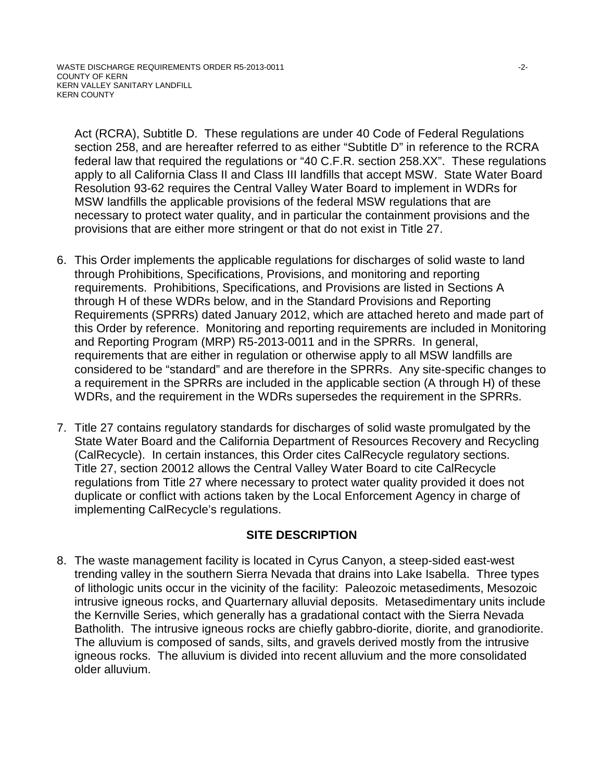Act (RCRA), Subtitle D. These regulations are under 40 Code of Federal Regulations section 258, and are hereafter referred to as either "Subtitle D" in reference to the RCRA federal law that required the regulations or "40 C.F.R. section 258.XX". These regulations apply to all California Class II and Class III landfills that accept MSW. State Water Board Resolution 93-62 requires the Central Valley Water Board to implement in WDRs for MSW landfills the applicable provisions of the federal MSW regulations that are necessary to protect water quality, and in particular the containment provisions and the provisions that are either more stringent or that do not exist in Title 27.

- 6. This Order implements the applicable regulations for discharges of solid waste to land through Prohibitions, Specifications, Provisions, and monitoring and reporting requirements. Prohibitions, Specifications, and Provisions are listed in Sections A through H of these WDRs below, and in the Standard Provisions and Reporting Requirements (SPRRs) dated January 2012, which are attached hereto and made part of this Order by reference. Monitoring and reporting requirements are included in Monitoring and Reporting Program (MRP) R5-2013-0011 and in the SPRRs. In general, requirements that are either in regulation or otherwise apply to all MSW landfills are considered to be "standard" and are therefore in the SPRRs. Any site-specific changes to a requirement in the SPRRs are included in the applicable section (A through H) of these WDRs, and the requirement in the WDRs supersedes the requirement in the SPRRs.
- 7. Title 27 contains regulatory standards for discharges of solid waste promulgated by the State Water Board and the California Department of Resources Recovery and Recycling (CalRecycle). In certain instances, this Order cites CalRecycle regulatory sections. Title 27, section 20012 allows the Central Valley Water Board to cite CalRecycle regulations from Title 27 where necessary to protect water quality provided it does not duplicate or conflict with actions taken by the Local Enforcement Agency in charge of implementing CalRecycle's regulations.

# **SITE DESCRIPTION**

8. The waste management facility is located in Cyrus Canyon, a steep-sided east-west trending valley in the southern Sierra Nevada that drains into Lake Isabella. Three types of lithologic units occur in the vicinity of the facility: Paleozoic metasediments, Mesozoic intrusive igneous rocks, and Quarternary alluvial deposits. Metasedimentary units include the Kernville Series, which generally has a gradational contact with the Sierra Nevada Batholith. The intrusive igneous rocks are chiefly gabbro-diorite, diorite, and granodiorite. The alluvium is composed of sands, silts, and gravels derived mostly from the intrusive igneous rocks. The alluvium is divided into recent alluvium and the more consolidated older alluvium.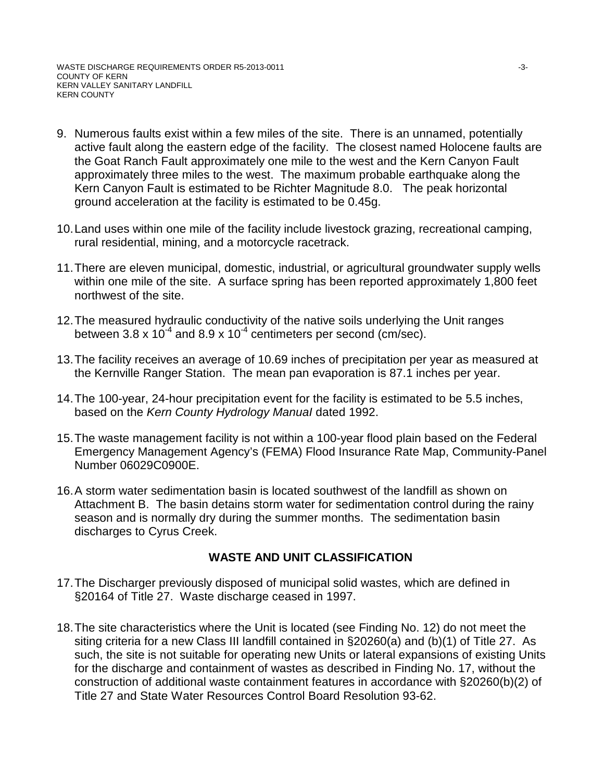- 9. Numerous faults exist within a few miles of the site. There is an unnamed, potentially active fault along the eastern edge of the facility. The closest named Holocene faults are the Goat Ranch Fault approximately one mile to the west and the Kern Canyon Fault approximately three miles to the west. The maximum probable earthquake along the Kern Canyon Fault is estimated to be Richter Magnitude 8.0. The peak horizontal ground acceleration at the facility is estimated to be 0.45g.
- 10. Land uses within one mile of the facility include livestock grazing, recreational camping, rural residential, mining, and a motorcycle racetrack.
- 11.There are eleven municipal, domestic, industrial, or agricultural groundwater supply wells within one mile of the site. A surface spring has been reported approximately 1,800 feet northwest of the site.
- 12.The measured hydraulic conductivity of the native soils underlying the Unit ranges between 3.8 x  $10^{-4}$  and 8.9 x  $10^{-4}$  centimeters per second (cm/sec).
- 13.The facility receives an average of 10.69 inches of precipitation per year as measured at the Kernville Ranger Station. The mean pan evaporation is 87.1 inches per year.
- 14.The 100-year, 24-hour precipitation event for the facility is estimated to be 5.5 inches, based on the *Kern County Hydrology ManuaI* dated 1992.
- 15.The waste management facility is not within a 100-year flood plain based on the Federal Emergency Management Agency's (FEMA) Flood Insurance Rate Map, Community-Panel Number 06029C0900E.
- 16.A storm water sedimentation basin is located southwest of the landfill as shown on Attachment B. The basin detains storm water for sedimentation control during the rainy season and is normally dry during the summer months. The sedimentation basin discharges to Cyrus Creek.

# **WASTE AND UNIT CLASSIFICATION**

- 17.The Discharger previously disposed of municipal solid wastes, which are defined in §20164 of Title 27. Waste discharge ceased in 1997.
- 18.The site characteristics where the Unit is located (see Finding No. 12) do not meet the siting criteria for a new Class III landfill contained in §20260(a) and (b)(1) of Title 27. As such, the site is not suitable for operating new Units or lateral expansions of existing Units for the discharge and containment of wastes as described in Finding No. 17, without the construction of additional waste containment features in accordance with §20260(b)(2) of Title 27 and State Water Resources Control Board Resolution 93-62.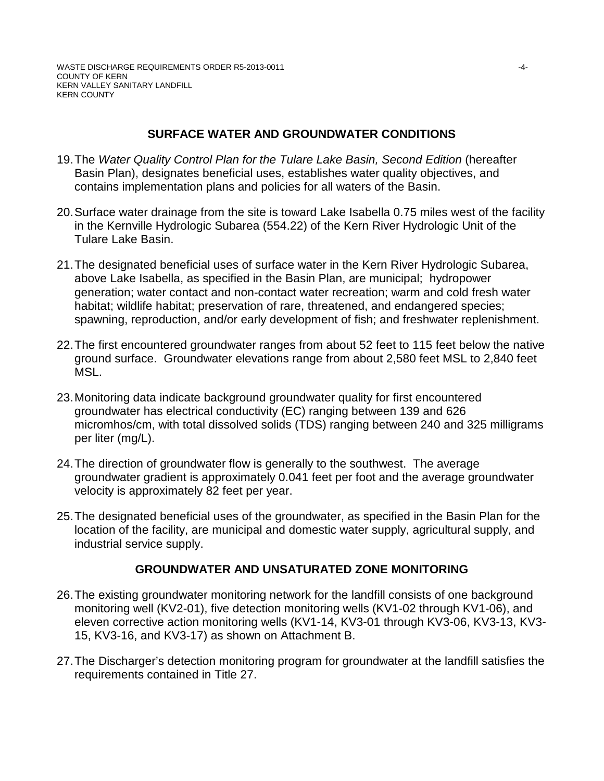# **SURFACE WATER AND GROUNDWATER CONDITIONS**

- 19.The *Water Quality Control Plan for the Tulare Lake Basin, Second Edition* (hereafter Basin Plan), designates beneficial uses, establishes water quality objectives, and contains implementation plans and policies for all waters of the Basin.
- 20.Surface water drainage from the site is toward Lake Isabella 0.75 miles west of the facility in the Kernville Hydrologic Subarea (554.22) of the Kern River Hydrologic Unit of the Tulare Lake Basin.
- 21.The designated beneficial uses of surface water in the Kern River Hydrologic Subarea, above Lake Isabella, as specified in the Basin Plan, are municipal; hydropower generation; water contact and non-contact water recreation; warm and cold fresh water habitat; wildlife habitat; preservation of rare, threatened, and endangered species; spawning, reproduction, and/or early development of fish; and freshwater replenishment.
- 22.The first encountered groundwater ranges from about 52 feet to 115 feet below the native ground surface. Groundwater elevations range from about 2,580 feet MSL to 2,840 feet MSL.
- 23.Monitoring data indicate background groundwater quality for first encountered groundwater has electrical conductivity (EC) ranging between 139 and 626 micromhos/cm, with total dissolved solids (TDS) ranging between 240 and 325 milligrams per liter (mg/L).
- 24.The direction of groundwater flow is generally to the southwest. The average groundwater gradient is approximately 0.041 feet per foot and the average groundwater velocity is approximately 82 feet per year.
- 25.The designated beneficial uses of the groundwater, as specified in the Basin Plan for the location of the facility, are municipal and domestic water supply, agricultural supply, and industrial service supply.

# **GROUNDWATER AND UNSATURATED ZONE MONITORING**

- 26.The existing groundwater monitoring network for the landfill consists of one background monitoring well (KV2-01), five detection monitoring wells (KV1-02 through KV1-06), and eleven corrective action monitoring wells (KV1-14, KV3-01 through KV3-06, KV3-13, KV3- 15, KV3-16, and KV3-17) as shown on Attachment B.
- 27.The Discharger's detection monitoring program for groundwater at the landfill satisfies the requirements contained in Title 27.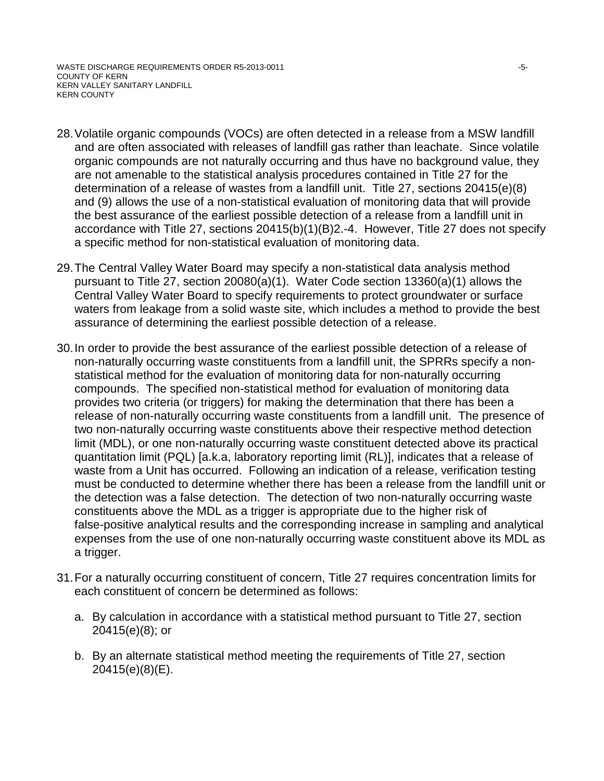- 28.Volatile organic compounds (VOCs) are often detected in a release from a MSW landfill and are often associated with releases of landfill gas rather than leachate. Since volatile organic compounds are not naturally occurring and thus have no background value, they are not amenable to the statistical analysis procedures contained in Title 27 for the determination of a release of wastes from a landfill unit. Title 27, sections 20415(e)(8) and (9) allows the use of a non-statistical evaluation of monitoring data that will provide the best assurance of the earliest possible detection of a release from a landfill unit in accordance with Title 27, sections 20415(b)(1)(B)2.-4. However, Title 27 does not specify a specific method for non-statistical evaluation of monitoring data.
- 29.The Central Valley Water Board may specify a non-statistical data analysis method pursuant to Title 27, section 20080(a)(1). Water Code section 13360(a)(1) allows the Central Valley Water Board to specify requirements to protect groundwater or surface waters from leakage from a solid waste site, which includes a method to provide the best assurance of determining the earliest possible detection of a release.
- 30.In order to provide the best assurance of the earliest possible detection of a release of non-naturally occurring waste constituents from a landfill unit, the SPRRs specify a nonstatistical method for the evaluation of monitoring data for non-naturally occurring compounds. The specified non-statistical method for evaluation of monitoring data provides two criteria (or triggers) for making the determination that there has been a release of non-naturally occurring waste constituents from a landfill unit. The presence of two non-naturally occurring waste constituents above their respective method detection limit (MDL), or one non-naturally occurring waste constituent detected above its practical quantitation limit (PQL) [a.k.a, laboratory reporting limit (RL)], indicates that a release of waste from a Unit has occurred. Following an indication of a release, verification testing must be conducted to determine whether there has been a release from the landfill unit or the detection was a false detection. The detection of two non-naturally occurring waste constituents above the MDL as a trigger is appropriate due to the higher risk of false-positive analytical results and the corresponding increase in sampling and analytical expenses from the use of one non-naturally occurring waste constituent above its MDL as a trigger.
- 31.For a naturally occurring constituent of concern, Title 27 requires concentration limits for each constituent of concern be determined as follows:
	- a. By calculation in accordance with a statistical method pursuant to Title 27, section 20415(e)(8); or
	- b. By an alternate statistical method meeting the requirements of Title 27, section 20415(e)(8)(E).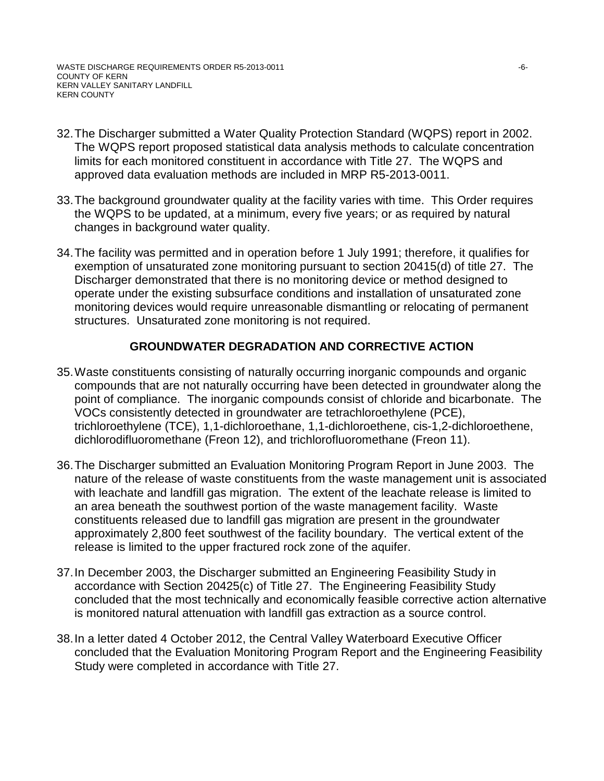- 32.The Discharger submitted a Water Quality Protection Standard (WQPS) report in 2002. The WQPS report proposed statistical data analysis methods to calculate concentration limits for each monitored constituent in accordance with Title 27. The WQPS and approved data evaluation methods are included in MRP R5-2013-0011.
- 33.The background groundwater quality at the facility varies with time. This Order requires the WQPS to be updated, at a minimum, every five years; or as required by natural changes in background water quality.
- 34.The facility was permitted and in operation before 1 July 1991; therefore, it qualifies for exemption of unsaturated zone monitoring pursuant to section 20415(d) of title 27. The Discharger demonstrated that there is no monitoring device or method designed to operate under the existing subsurface conditions and installation of unsaturated zone monitoring devices would require unreasonable dismantling or relocating of permanent structures. Unsaturated zone monitoring is not required.

# **GROUNDWATER DEGRADATION AND CORRECTIVE ACTION**

- 35.Waste constituents consisting of naturally occurring inorganic compounds and organic compounds that are not naturally occurring have been detected in groundwater along the point of compliance. The inorganic compounds consist of chloride and bicarbonate. The VOCs consistently detected in groundwater are tetrachloroethylene (PCE), trichloroethylene (TCE), 1,1-dichloroethane, 1,1-dichloroethene, cis-1,2-dichloroethene, dichlorodifluoromethane (Freon 12), and trichlorofluoromethane (Freon 11).
- 36.The Discharger submitted an Evaluation Monitoring Program Report in June 2003. The nature of the release of waste constituents from the waste management unit is associated with leachate and landfill gas migration. The extent of the leachate release is limited to an area beneath the southwest portion of the waste management facility. Waste constituents released due to landfill gas migration are present in the groundwater approximately 2,800 feet southwest of the facility boundary. The vertical extent of the release is limited to the upper fractured rock zone of the aquifer.
- 37.In December 2003, the Discharger submitted an Engineering Feasibility Study in accordance with Section 20425(c) of Title 27. The Engineering Feasibility Study concluded that the most technically and economically feasible corrective action alternative is monitored natural attenuation with landfill gas extraction as a source control.
- 38.In a letter dated 4 October 2012, the Central Valley Waterboard Executive Officer concluded that the Evaluation Monitoring Program Report and the Engineering Feasibility Study were completed in accordance with Title 27.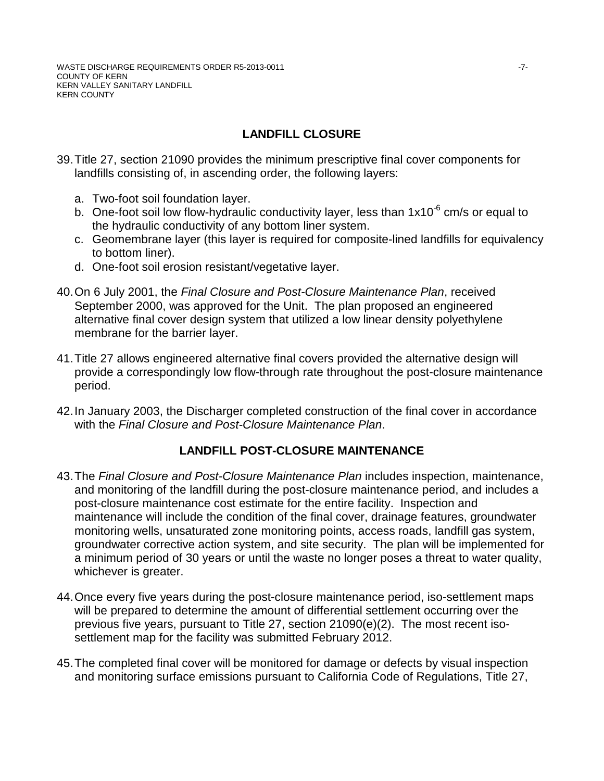# **LANDFILL CLOSURE**

- 39.Title 27, section 21090 provides the minimum prescriptive final cover components for landfills consisting of, in ascending order, the following layers:
	- a. Two-foot soil foundation layer.
	- b. One-foot soil low flow-hydraulic conductivity layer, less than  $1x10^{-6}$  cm/s or equal to the hydraulic conductivity of any bottom liner system.
	- c. Geomembrane layer (this layer is required for composite-lined landfills for equivalency to bottom liner).
	- d. One-foot soil erosion resistant/vegetative layer.
- 40.On 6 July 2001, the *Final Closure and Post-Closure Maintenance Plan*, received September 2000, was approved for the Unit. The plan proposed an engineered alternative final cover design system that utilized a low linear density polyethylene membrane for the barrier layer.
- 41.Title 27 allows engineered alternative final covers provided the alternative design will provide a correspondingly low flow-through rate throughout the post-closure maintenance period.
- 42.In January 2003, the Discharger completed construction of the final cover in accordance with the *Final Closure and Post-Closure Maintenance Plan*.

# **LANDFILL POST-CLOSURE MAINTENANCE**

- 43.The *Final Closure and Post-Closure Maintenance Plan* includes inspection, maintenance, and monitoring of the landfill during the post-closure maintenance period, and includes a post-closure maintenance cost estimate for the entire facility. Inspection and maintenance will include the condition of the final cover, drainage features, groundwater monitoring wells, unsaturated zone monitoring points, access roads, landfill gas system, groundwater corrective action system, and site security. The plan will be implemented for a minimum period of 30 years or until the waste no longer poses a threat to water quality, whichever is greater.
- 44.Once every five years during the post-closure maintenance period, iso-settlement maps will be prepared to determine the amount of differential settlement occurring over the previous five years, pursuant to Title 27, section 21090(e)(2). The most recent isosettlement map for the facility was submitted February 2012.
- 45.The completed final cover will be monitored for damage or defects by visual inspection and monitoring surface emissions pursuant to California Code of Regulations, Title 27,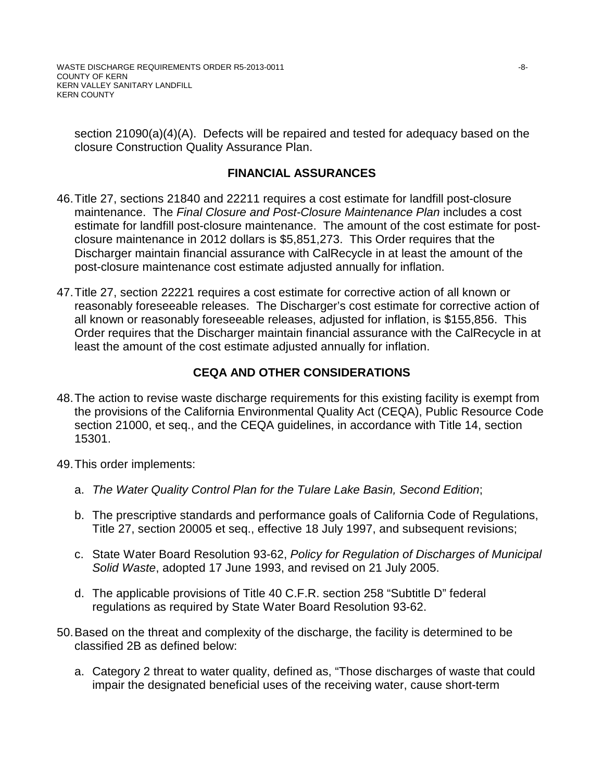section 21090(a)(4)(A). Defects will be repaired and tested for adequacy based on the closure Construction Quality Assurance Plan.

# **FINANCIAL ASSURANCES**

- 46.Title 27, sections 21840 and 22211 requires a cost estimate for landfill post-closure maintenance. The *Final Closure and Post-Closure Maintenance Plan* includes a cost estimate for landfill post-closure maintenance. The amount of the cost estimate for postclosure maintenance in 2012 dollars is \$5,851,273. This Order requires that the Discharger maintain financial assurance with CalRecycle in at least the amount of the post-closure maintenance cost estimate adjusted annually for inflation.
- 47.Title 27, section 22221 requires a cost estimate for corrective action of all known or reasonably foreseeable releases. The Discharger's cost estimate for corrective action of all known or reasonably foreseeable releases, adjusted for inflation, is \$155,856. This Order requires that the Discharger maintain financial assurance with the CalRecycle in at least the amount of the cost estimate adjusted annually for inflation.

# **CEQA AND OTHER CONSIDERATIONS**

- 48.The action to revise waste discharge requirements for this existing facility is exempt from the provisions of the California Environmental Quality Act (CEQA), Public Resource Code section 21000, et seq., and the CEQA guidelines, in accordance with Title 14, section 15301.
- 49.This order implements:
	- a. *The Water Quality Control Plan for the Tulare Lake Basin, Second Edition*;
	- b. The prescriptive standards and performance goals of California Code of Regulations, Title 27, section 20005 et seq., effective 18 July 1997, and subsequent revisions;
	- c. State Water Board Resolution 93-62, *Policy for Regulation of Discharges of Municipal Solid Waste*, adopted 17 June 1993, and revised on 21 July 2005.
	- d. The applicable provisions of Title 40 C.F.R. section 258 "Subtitle D" federal regulations as required by State Water Board Resolution 93-62.
- 50.Based on the threat and complexity of the discharge, the facility is determined to be classified 2B as defined below:
	- a. Category 2 threat to water quality, defined as, "Those discharges of waste that could impair the designated beneficial uses of the receiving water, cause short-term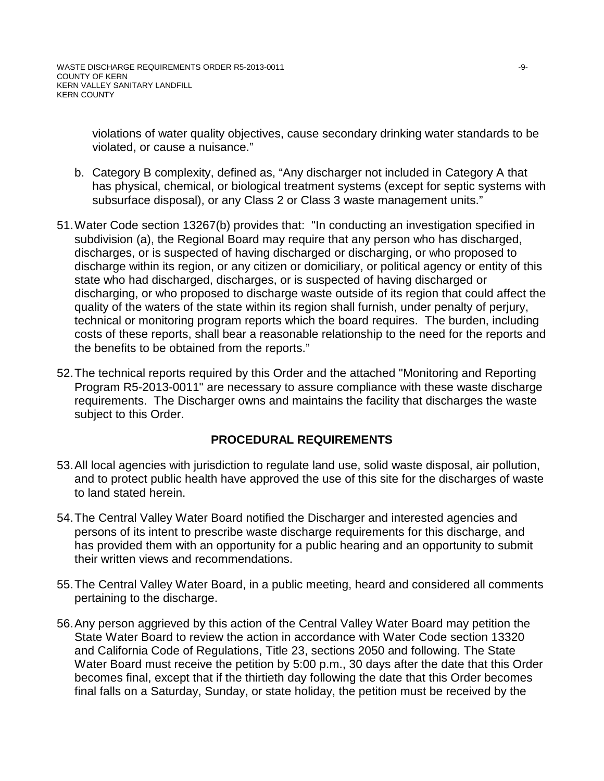violations of water quality objectives, cause secondary drinking water standards to be violated, or cause a nuisance."

- b. Category B complexity, defined as, "Any discharger not included in Category A that has physical, chemical, or biological treatment systems (except for septic systems with subsurface disposal), or any Class 2 or Class 3 waste management units."
- 51.Water Code section 13267(b) provides that: "In conducting an investigation specified in subdivision (a), the Regional Board may require that any person who has discharged, discharges, or is suspected of having discharged or discharging, or who proposed to discharge within its region, or any citizen or domiciliary, or political agency or entity of this state who had discharged, discharges, or is suspected of having discharged or discharging, or who proposed to discharge waste outside of its region that could affect the quality of the waters of the state within its region shall furnish, under penalty of perjury, technical or monitoring program reports which the board requires. The burden, including costs of these reports, shall bear a reasonable relationship to the need for the reports and the benefits to be obtained from the reports."
- 52.The technical reports required by this Order and the attached "Monitoring and Reporting Program R5-2013-0011" are necessary to assure compliance with these waste discharge requirements. The Discharger owns and maintains the facility that discharges the waste subject to this Order.

# **PROCEDURAL REQUIREMENTS**

- 53.All local agencies with jurisdiction to regulate land use, solid waste disposal, air pollution, and to protect public health have approved the use of this site for the discharges of waste to land stated herein.
- 54.The Central Valley Water Board notified the Discharger and interested agencies and persons of its intent to prescribe waste discharge requirements for this discharge, and has provided them with an opportunity for a public hearing and an opportunity to submit their written views and recommendations.
- 55.The Central Valley Water Board, in a public meeting, heard and considered all comments pertaining to the discharge.
- 56.Any person aggrieved by this action of the Central Valley Water Board may petition the State Water Board to review the action in accordance with Water Code section 13320 and California Code of Regulations, Title 23, sections 2050 and following. The State Water Board must receive the petition by 5:00 p.m., 30 days after the date that this Order becomes final, except that if the thirtieth day following the date that this Order becomes final falls on a Saturday, Sunday, or state holiday, the petition must be received by the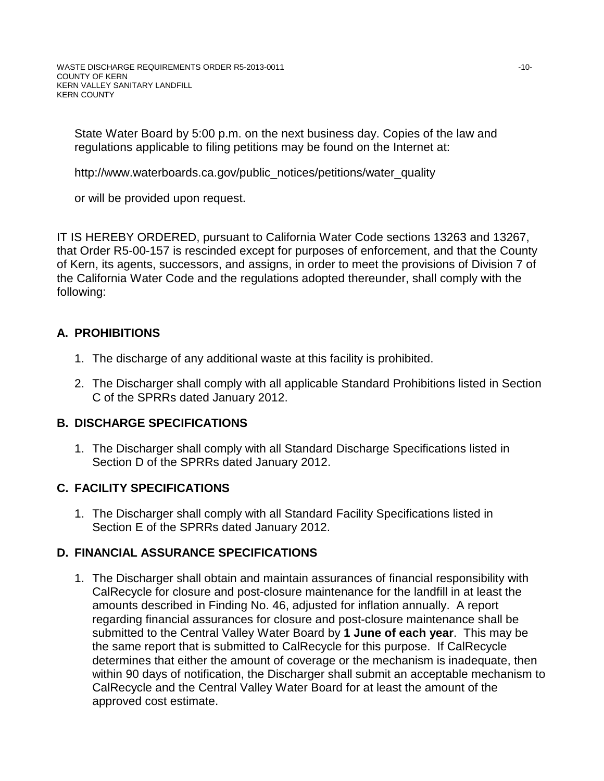State Water Board by 5:00 p.m. on the next business day. Copies of the law and regulations applicable to filing petitions may be found on the Internet at:

http://www.waterboards.ca.gov/public\_notices/petitions/water\_quality

or will be provided upon request.

IT IS HEREBY ORDERED, pursuant to California Water Code sections 13263 and 13267, that Order R5-00-157 is rescinded except for purposes of enforcement, and that the County of Kern, its agents, successors, and assigns, in order to meet the provisions of Division 7 of the California Water Code and the regulations adopted thereunder, shall comply with the following:

# **A. PROHIBITIONS**

- 1. The discharge of any additional waste at this facility is prohibited.
- 2. The Discharger shall comply with all applicable Standard Prohibitions listed in Section C of the SPRRs dated January 2012.

# **B. DISCHARGE SPECIFICATIONS**

1. The Discharger shall comply with all Standard Discharge Specifications listed in Section D of the SPRRs dated January 2012.

# **C. FACILITY SPECIFICATIONS**

1. The Discharger shall comply with all Standard Facility Specifications listed in Section E of the SPRRs dated January 2012.

# **D. FINANCIAL ASSURANCE SPECIFICATIONS**

1. The Discharger shall obtain and maintain assurances of financial responsibility with CalRecycle for closure and post-closure maintenance for the landfill in at least the amounts described in Finding No. 46, adjusted for inflation annually. A report regarding financial assurances for closure and post-closure maintenance shall be submitted to the Central Valley Water Board by **1 June of each year**. This may be the same report that is submitted to CalRecycle for this purpose. If CalRecycle determines that either the amount of coverage or the mechanism is inadequate, then within 90 days of notification, the Discharger shall submit an acceptable mechanism to CalRecycle and the Central Valley Water Board for at least the amount of the approved cost estimate.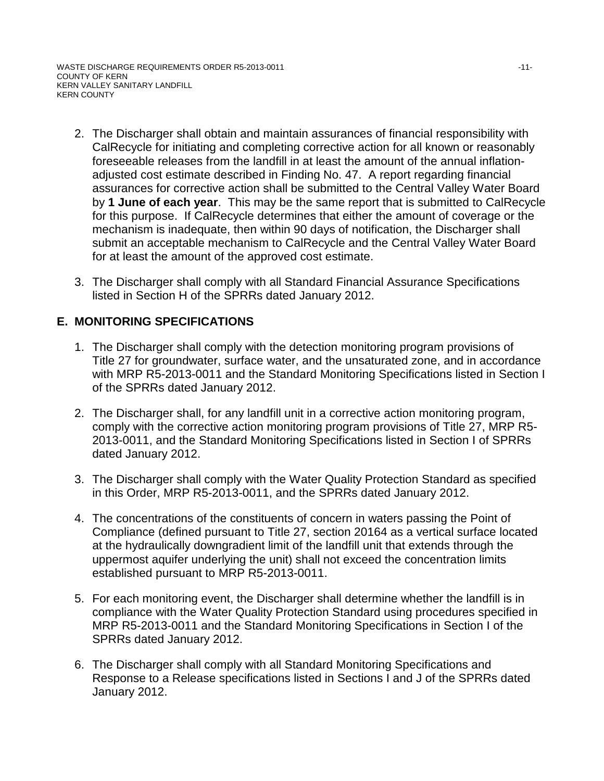- 2. The Discharger shall obtain and maintain assurances of financial responsibility with CalRecycle for initiating and completing corrective action for all known or reasonably foreseeable releases from the landfill in at least the amount of the annual inflationadjusted cost estimate described in Finding No. 47. A report regarding financial assurances for corrective action shall be submitted to the Central Valley Water Board by **1 June of each year**. This may be the same report that is submitted to CalRecycle for this purpose. If CalRecycle determines that either the amount of coverage or the mechanism is inadequate, then within 90 days of notification, the Discharger shall submit an acceptable mechanism to CalRecycle and the Central Valley Water Board for at least the amount of the approved cost estimate.
- 3. The Discharger shall comply with all Standard Financial Assurance Specifications listed in Section H of the SPRRs dated January 2012.

# **E. MONITORING SPECIFICATIONS**

- 1. The Discharger shall comply with the detection monitoring program provisions of Title 27 for groundwater, surface water, and the unsaturated zone, and in accordance with MRP R5-2013-0011 and the Standard Monitoring Specifications listed in Section I of the SPRRs dated January 2012.
- 2. The Discharger shall, for any landfill unit in a corrective action monitoring program, comply with the corrective action monitoring program provisions of Title 27, MRP R5- 2013-0011, and the Standard Monitoring Specifications listed in Section I of SPRRs dated January 2012.
- 3. The Discharger shall comply with the Water Quality Protection Standard as specified in this Order, MRP R5-2013-0011, and the SPRRs dated January 2012.
- 4. The concentrations of the constituents of concern in waters passing the Point of Compliance (defined pursuant to Title 27, section 20164 as a vertical surface located at the hydraulically downgradient limit of the landfill unit that extends through the uppermost aquifer underlying the unit) shall not exceed the concentration limits established pursuant to MRP R5-2013-0011.
- 5. For each monitoring event, the Discharger shall determine whether the landfill is in compliance with the Water Quality Protection Standard using procedures specified in MRP R5-2013-0011 and the Standard Monitoring Specifications in Section I of the SPRRs dated January 2012.
- 6. The Discharger shall comply with all Standard Monitoring Specifications and Response to a Release specifications listed in Sections I and J of the SPRRs dated January 2012.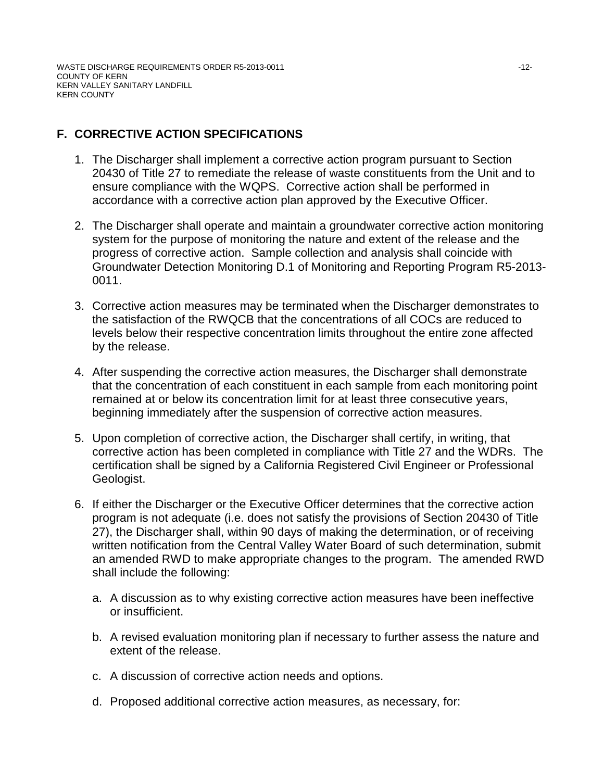# **F. CORRECTIVE ACTION SPECIFICATIONS**

- 1. The Discharger shall implement a corrective action program pursuant to Section 20430 of Title 27 to remediate the release of waste constituents from the Unit and to ensure compliance with the WQPS. Corrective action shall be performed in accordance with a corrective action plan approved by the Executive Officer.
- 2. The Discharger shall operate and maintain a groundwater corrective action monitoring system for the purpose of monitoring the nature and extent of the release and the progress of corrective action. Sample collection and analysis shall coincide with Groundwater Detection Monitoring D.1 of Monitoring and Reporting Program R5-2013- 0011.
- 3. Corrective action measures may be terminated when the Discharger demonstrates to the satisfaction of the RWQCB that the concentrations of all COCs are reduced to levels below their respective concentration limits throughout the entire zone affected by the release.
- 4. After suspending the corrective action measures, the Discharger shall demonstrate that the concentration of each constituent in each sample from each monitoring point remained at or below its concentration limit for at least three consecutive years, beginning immediately after the suspension of corrective action measures.
- 5. Upon completion of corrective action, the Discharger shall certify, in writing, that corrective action has been completed in compliance with Title 27 and the WDRs. The certification shall be signed by a California Registered Civil Engineer or Professional Geologist.
- 6. If either the Discharger or the Executive Officer determines that the corrective action program is not adequate (i.e. does not satisfy the provisions of Section 20430 of Title 27), the Discharger shall, within 90 days of making the determination, or of receiving written notification from the Central Valley Water Board of such determination, submit an amended RWD to make appropriate changes to the program. The amended RWD shall include the following:
	- a. A discussion as to why existing corrective action measures have been ineffective or insufficient.
	- b. A revised evaluation monitoring plan if necessary to further assess the nature and extent of the release.
	- c. A discussion of corrective action needs and options.
	- d. Proposed additional corrective action measures, as necessary, for: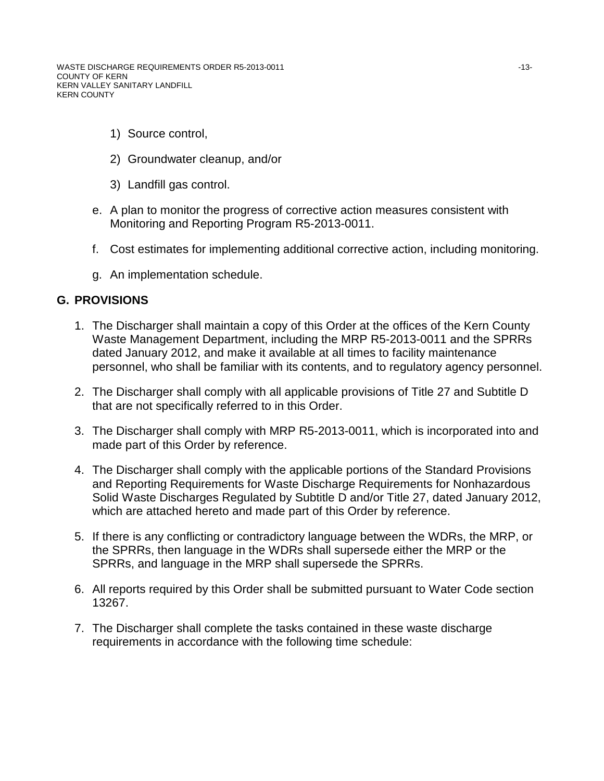WASTE DISCHARGE REQUIREMENTS ORDER R5-2013-0011 **Internal and Contact Contact Contact Contact Contact Contact Contact Contact Contact Contact Contact Contact Contact Contact Contact Contact Contact Contact Contact Contact** COUNTY OF KERN KERN VALLEY SANITARY LANDFILL KERN COUNTY

- 1) Source control,
- 2) Groundwater cleanup, and/or
- 3) Landfill gas control.
- e. A plan to monitor the progress of corrective action measures consistent with Monitoring and Reporting Program R5-2013-0011.
- f. Cost estimates for implementing additional corrective action, including monitoring.
- g. An implementation schedule.

## **G. PROVISIONS**

- 1. The Discharger shall maintain a copy of this Order at the offices of the Kern County Waste Management Department, including the MRP R5-2013-0011 and the SPRRs dated January 2012, and make it available at all times to facility maintenance personnel, who shall be familiar with its contents, and to regulatory agency personnel.
- 2. The Discharger shall comply with all applicable provisions of Title 27 and Subtitle D that are not specifically referred to in this Order.
- 3. The Discharger shall comply with MRP R5-2013-0011, which is incorporated into and made part of this Order by reference.
- 4. The Discharger shall comply with the applicable portions of the Standard Provisions and Reporting Requirements for Waste Discharge Requirements for Nonhazardous Solid Waste Discharges Regulated by Subtitle D and/or Title 27, dated January 2012, which are attached hereto and made part of this Order by reference.
- 5. If there is any conflicting or contradictory language between the WDRs, the MRP, or the SPRRs, then language in the WDRs shall supersede either the MRP or the SPRRs, and language in the MRP shall supersede the SPRRs.
- 6. All reports required by this Order shall be submitted pursuant to Water Code section 13267.
- 7. The Discharger shall complete the tasks contained in these waste discharge requirements in accordance with the following time schedule: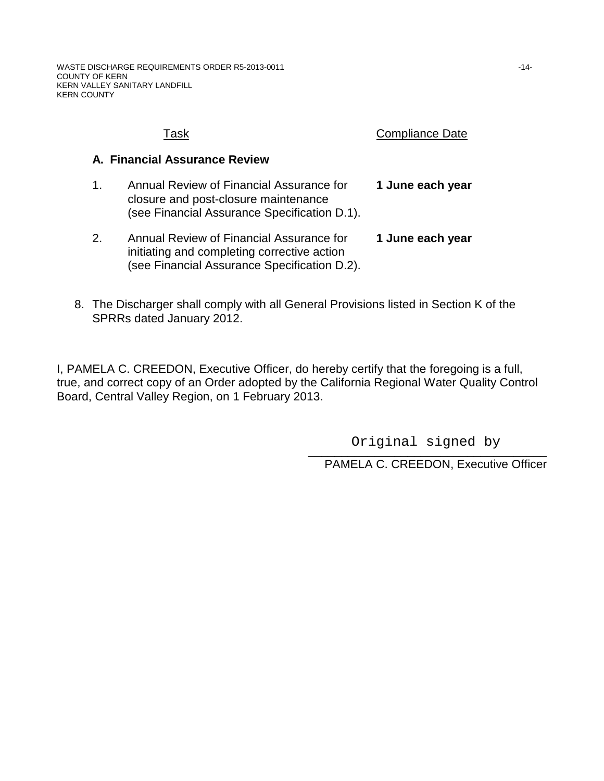|    | Task                                                                                                                                    | <b>Compliance Date</b> |
|----|-----------------------------------------------------------------------------------------------------------------------------------------|------------------------|
|    | A. Financial Assurance Review                                                                                                           |                        |
| 1. | Annual Review of Financial Assurance for<br>closure and post-closure maintenance<br>(see Financial Assurance Specification D.1).        | 1 June each year       |
| 2. | Annual Review of Financial Assurance for<br>initiating and completing corrective action<br>(see Financial Assurance Specification D.2). | 1 June each year       |

8. The Discharger shall comply with all General Provisions listed in Section K of the SPRRs dated January 2012.

I, PAMELA C. CREEDON, Executive Officer, do hereby certify that the foregoing is a full, true, and correct copy of an Order adopted by the California Regional Water Quality Control Board, Central Valley Region, on 1 February 2013.

> \_\_\_\_\_\_\_\_\_\_\_\_\_\_\_\_\_\_\_\_\_\_\_\_\_\_\_\_\_\_\_\_\_\_\_\_ Original signed by

PAMELA C. CREEDON, Executive Officer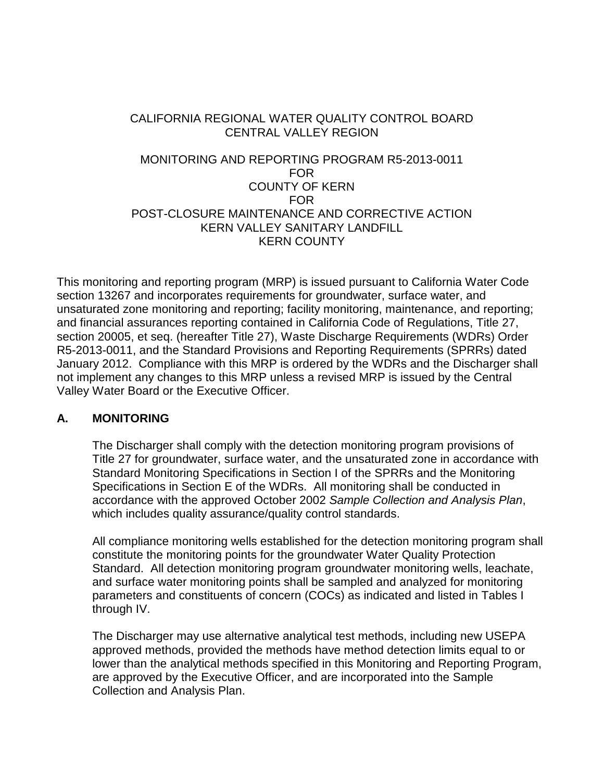# CALIFORNIA REGIONAL WATER QUALITY CONTROL BOARD CENTRAL VALLEY REGION

# MONITORING AND REPORTING PROGRAM R5-2013-0011 FOR COUNTY OF KERN FOR POST-CLOSURE MAINTENANCE AND CORRECTIVE ACTION KERN VALLEY SANITARY LANDFILL KERN COUNTY

This monitoring and reporting program (MRP) is issued pursuant to California Water Code section 13267 and incorporates requirements for groundwater, surface water, and unsaturated zone monitoring and reporting; facility monitoring, maintenance, and reporting; and financial assurances reporting contained in California Code of Regulations, Title 27, section 20005, et seq. (hereafter Title 27), Waste Discharge Requirements (WDRs) Order R5-2013-0011, and the Standard Provisions and Reporting Requirements (SPRRs) dated January 2012. Compliance with this MRP is ordered by the WDRs and the Discharger shall not implement any changes to this MRP unless a revised MRP is issued by the Central Valley Water Board or the Executive Officer.

# **A. MONITORING**

The Discharger shall comply with the detection monitoring program provisions of Title 27 for groundwater, surface water, and the unsaturated zone in accordance with Standard Monitoring Specifications in Section I of the SPRRs and the Monitoring Specifications in Section E of the WDRs. All monitoring shall be conducted in accordance with the approved October 2002 *Sample Collection and Analysis Plan*, which includes quality assurance/quality control standards.

All compliance monitoring wells established for the detection monitoring program shall constitute the monitoring points for the groundwater Water Quality Protection Standard. All detection monitoring program groundwater monitoring wells, leachate, and surface water monitoring points shall be sampled and analyzed for monitoring parameters and constituents of concern (COCs) as indicated and listed in Tables I through IV.

The Discharger may use alternative analytical test methods, including new USEPA approved methods, provided the methods have method detection limits equal to or lower than the analytical methods specified in this Monitoring and Reporting Program, are approved by the Executive Officer, and are incorporated into the Sample Collection and Analysis Plan.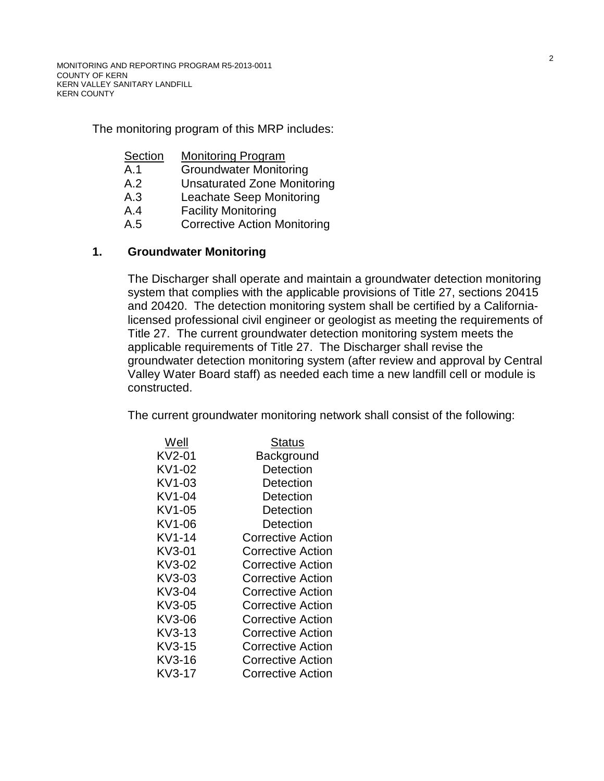The monitoring program of this MRP includes:

- **Section** Monitoring Program
- A.1 Groundwater Monitoring
- A.2 Unsaturated Zone Monitoring
- A.3 Leachate Seep Monitoring
- A.4 Facility Monitoring
- A.5 Corrective Action Monitoring

## **1. Groundwater Monitoring**

The Discharger shall operate and maintain a groundwater detection monitoring system that complies with the applicable provisions of Title 27, sections 20415 and 20420. The detection monitoring system shall be certified by a Californialicensed professional civil engineer or geologist as meeting the requirements of Title 27. The current groundwater detection monitoring system meets the applicable requirements of Title 27. The Discharger shall revise the groundwater detection monitoring system (after review and approval by Central Valley Water Board staff) as needed each time a new landfill cell or module is constructed.

The current groundwater monitoring network shall consist of the following:

| Well   | Status                   |
|--------|--------------------------|
| KV2-01 | Background               |
| KV1-02 | Detection                |
| KV1-03 | Detection                |
| KV1-04 | Detection                |
| KV1-05 | Detection                |
| KV1-06 | Detection                |
| KV1-14 | <b>Corrective Action</b> |
| KV3-01 | <b>Corrective Action</b> |
| KV3-02 | <b>Corrective Action</b> |
| KV3-03 | Corrective Action        |
| KV3-04 | Corrective Action        |
| KV3-05 | Corrective Action        |
| KV3-06 | Corrective Action        |
| KV3-13 | <b>Corrective Action</b> |
| KV3-15 | Corrective Action        |
| KV3-16 | Corrective Action        |
| KV3-17 | <b>Corrective Action</b> |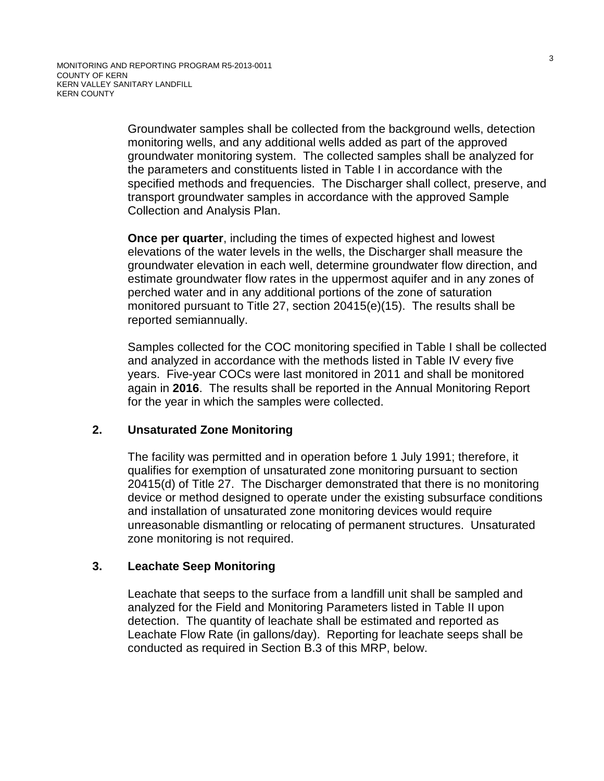Groundwater samples shall be collected from the background wells, detection monitoring wells, and any additional wells added as part of the approved groundwater monitoring system. The collected samples shall be analyzed for the parameters and constituents listed in Table I in accordance with the specified methods and frequencies. The Discharger shall collect, preserve, and transport groundwater samples in accordance with the approved Sample Collection and Analysis Plan.

**Once per quarter**, including the times of expected highest and lowest elevations of the water levels in the wells, the Discharger shall measure the groundwater elevation in each well, determine groundwater flow direction, and estimate groundwater flow rates in the uppermost aquifer and in any zones of perched water and in any additional portions of the zone of saturation monitored pursuant to Title 27, section 20415(e)(15). The results shall be reported semiannually.

Samples collected for the COC monitoring specified in Table I shall be collected and analyzed in accordance with the methods listed in Table IV every five years. Five-year COCs were last monitored in 2011 and shall be monitored again in **2016**. The results shall be reported in the Annual Monitoring Report for the year in which the samples were collected.

# **2. Unsaturated Zone Monitoring**

The facility was permitted and in operation before 1 July 1991; therefore, it qualifies for exemption of unsaturated zone monitoring pursuant to section 20415(d) of Title 27. The Discharger demonstrated that there is no monitoring device or method designed to operate under the existing subsurface conditions and installation of unsaturated zone monitoring devices would require unreasonable dismantling or relocating of permanent structures. Unsaturated zone monitoring is not required.

# **3. Leachate Seep Monitoring**

Leachate that seeps to the surface from a landfill unit shall be sampled and analyzed for the Field and Monitoring Parameters listed in Table II upon detection. The quantity of leachate shall be estimated and reported as Leachate Flow Rate (in gallons/day). Reporting for leachate seeps shall be conducted as required in Section B[.3](#page-23-0) of this MRP, below.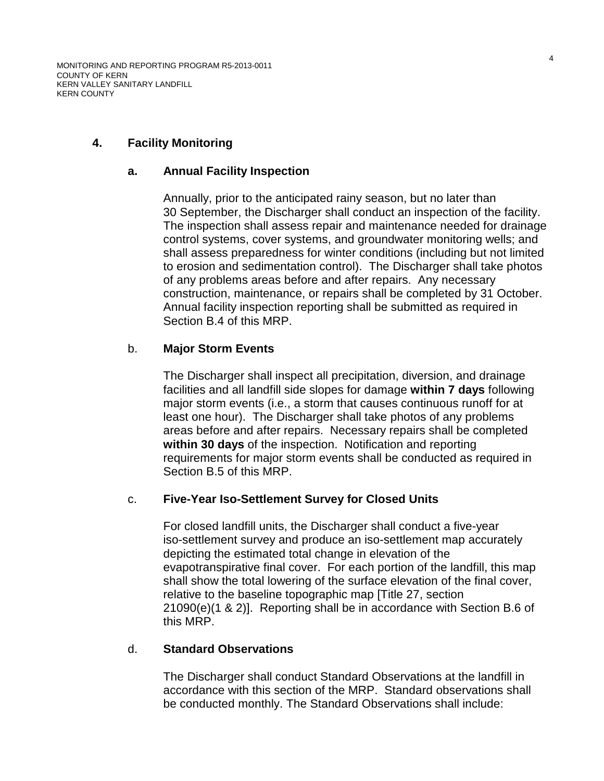# **4. Facility Monitoring**

## **a. Annual Facility Inspection**

<span id="page-17-1"></span>Annually, prior to the anticipated rainy season, but no later than 30 September, the Discharger shall conduct an inspection of the facility. The inspection shall assess repair and maintenance needed for drainage control systems, cover systems, and groundwater monitoring wells; and shall assess preparedness for winter conditions (including but not limited to erosion and sedimentation control). The Discharger shall take photos of any problems areas before and after repairs. Any necessary construction, maintenance, or repairs shall be completed by 31 October. Annual facility inspection reporting shall be submitted as required in Section B[.4](#page-23-1) of this MRP.

## <span id="page-17-2"></span>b. **Major Storm Events**

The Discharger shall inspect all precipitation, diversion, and drainage facilities and all landfill side slopes for damage **within 7 days** following major storm events (i.e., a storm that causes continuous runoff for at least one hour). The Discharger shall take photos of any problems areas before and after repairs. Necessary repairs shall be completed **within 30 days** of the inspection. Notification and reporting requirements for major storm events shall be conducted as required in Section B[.5](#page-23-2) of this MRP.

## <span id="page-17-3"></span>c. **Five-Year Iso-Settlement Survey for Closed Units**

For closed landfill units, the Discharger shall conduct a five-year iso-settlement survey and produce an iso-settlement map accurately depicting the estimated total change in elevation of the evapotranspirative final cover. For each portion of the landfill, this map shall show the total lowering of the surface elevation of the final cover, relative to the baseline topographic map [Title 27, section 21090(e)(1 & 2)]. Reporting shall be in accordance with Section B[.6](#page-23-3) of this MRP.

## <span id="page-17-0"></span>d. **Standard Observations**

The Discharger shall conduct Standard Observations at the landfill in accordance with this section of the MRP. Standard observations shall be conducted monthly. The Standard Observations shall include: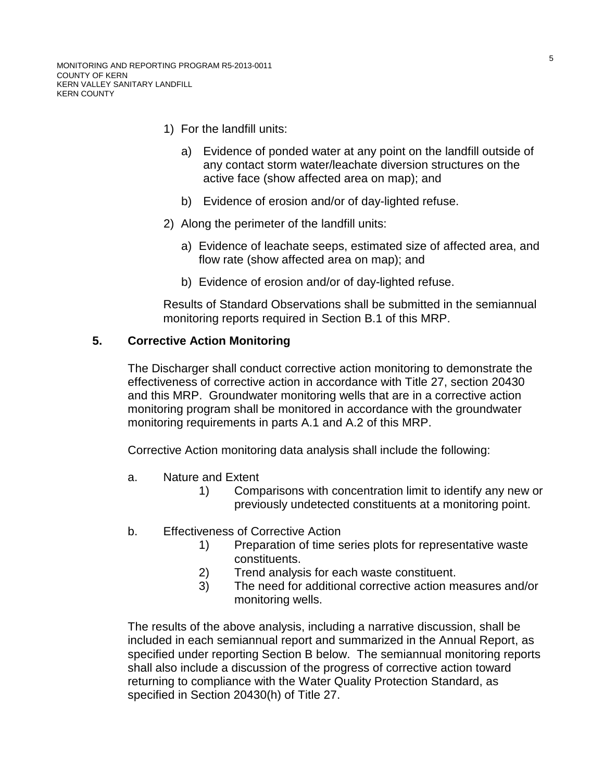- 1) For the landfill units:
	- a) Evidence of ponded water at any point on the landfill outside of any contact storm water/leachate diversion structures on the active face (show affected area on map); and
	- b) Evidence of erosion and/or of day-lighted refuse.
- 2) Along the perimeter of the landfill units:
	- a) Evidence of leachate seeps, estimated size of affected area, and flow rate (show affected area on map); and
	- b) Evidence of erosion and/or of day-lighted refuse.

Results of Standard Observations shall be submitted in the semiannual monitoring reports required in Section B.1 of this MRP.

## **5. Corrective Action Monitoring**

The Discharger shall conduct corrective action monitoring to demonstrate the effectiveness of corrective action in accordance with Title 27, section 20430 and this MRP. Groundwater monitoring wells that are in a corrective action monitoring program shall be monitored in accordance with the groundwater monitoring requirements in parts A.1 and A.2 of this MRP.

Corrective Action monitoring data analysis shall include the following:

- a. Nature and Extent
	- 1) Comparisons with concentration limit to identify any new or previously undetected constituents at a monitoring point.
- b. Effectiveness of Corrective Action
	- 1) Preparation of time series plots for representative waste constituents.
	- 2) Trend analysis for each waste constituent.
	- 3) The need for additional corrective action measures and/or monitoring wells.

The results of the above analysis, including a narrative discussion, shall be included in each semiannual report and summarized in the Annual Report, as specified under reporting Section B below. The semiannual monitoring reports shall also include a discussion of the progress of corrective action toward returning to compliance with the Water Quality Protection Standard, as specified in Section 20430(h) of Title 27.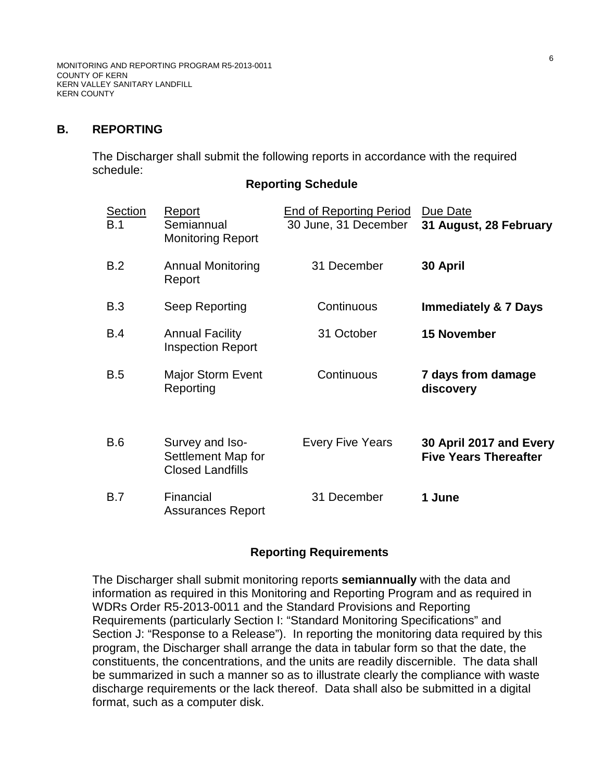MONITORING AND REPORTING PROGRAM R5-2013-0011 COUNTY OF KERN KERN VALLEY SANITARY LANDFILL KERN COUNTY

## **B. REPORTING**

The Discharger shall submit the following reports in accordance with the required schedule:

## **Reporting Schedule**

| Section<br>B.1 | Report<br>Semiannual<br><b>Monitoring Report</b>                 | End of Reporting Period<br>30 June, 31 December | Due Date<br>31 August, 28 February                      |
|----------------|------------------------------------------------------------------|-------------------------------------------------|---------------------------------------------------------|
| B.2            | <b>Annual Monitoring</b><br>Report                               | 31 December                                     | 30 April                                                |
| B.3            | Seep Reporting                                                   | Continuous                                      | <b>Immediately &amp; 7 Days</b>                         |
| B.4            | <b>Annual Facility</b><br><b>Inspection Report</b>               | 31 October                                      | <b>15 November</b>                                      |
| <b>B.5</b>     | <b>Major Storm Event</b><br>Reporting                            | Continuous                                      | 7 days from damage<br>discovery                         |
| <b>B.6</b>     | Survey and Iso-<br>Settlement Map for<br><b>Closed Landfills</b> | <b>Every Five Years</b>                         | 30 April 2017 and Every<br><b>Five Years Thereafter</b> |
| <b>B.7</b>     | Financial<br><b>Assurances Report</b>                            | 31 December                                     | 1 June                                                  |

## **Reporting Requirements**

The Discharger shall submit monitoring reports **semiannually** with the data and information as required in this Monitoring and Reporting Program and as required in WDRs Order R5-2013-0011 and the Standard Provisions and Reporting Requirements (particularly Section I: "Standard Monitoring Specifications" and Section J: "Response to a Release"). In reporting the monitoring data required by this program, the Discharger shall arrange the data in tabular form so that the date, the constituents, the concentrations, and the units are readily discernible. The data shall be summarized in such a manner so as to illustrate clearly the compliance with waste discharge requirements or the lack thereof. Data shall also be submitted in a digital format, such as a computer disk.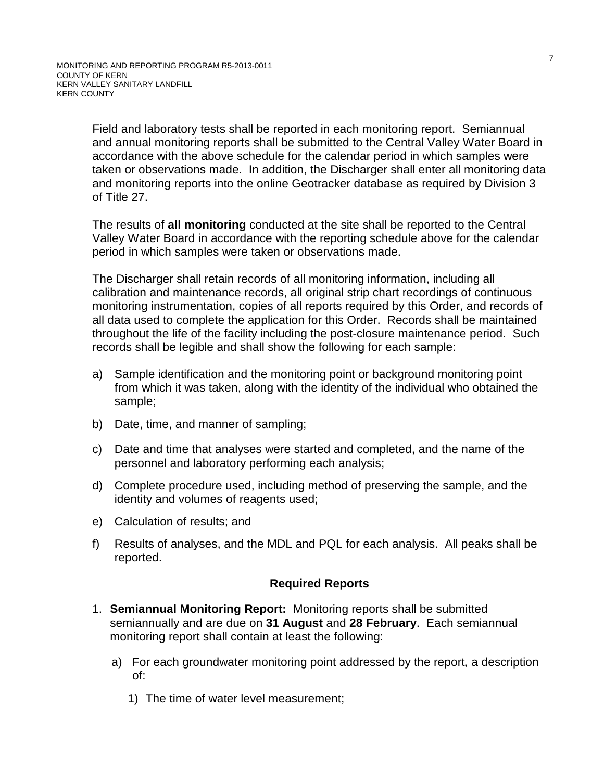Field and laboratory tests shall be reported in each monitoring report. Semiannual and annual monitoring reports shall be submitted to the Central Valley Water Board in accordance with the above schedule for the calendar period in which samples were taken or observations made. In addition, the Discharger shall enter all monitoring data and monitoring reports into the online Geotracker database as required by Division 3 of Title 27.

The results of **all monitoring** conducted at the site shall be reported to the Central Valley Water Board in accordance with the reporting schedule above for the calendar period in which samples were taken or observations made.

The Discharger shall retain records of all monitoring information, including all calibration and maintenance records, all original strip chart recordings of continuous monitoring instrumentation, copies of all reports required by this Order, and records of all data used to complete the application for this Order. Records shall be maintained throughout the life of the facility including the post-closure maintenance period. Such records shall be legible and shall show the following for each sample:

- a) Sample identification and the monitoring point or background monitoring point from which it was taken, along with the identity of the individual who obtained the sample;
- b) Date, time, and manner of sampling;
- c) Date and time that analyses were started and completed, and the name of the personnel and laboratory performing each analysis;
- d) Complete procedure used, including method of preserving the sample, and the identity and volumes of reagents used;
- e) Calculation of results; and
- f) Results of analyses, and the MDL and PQL for each analysis. All peaks shall be reported.

## **Required Reports**

- 1. **Semiannual Monitoring Report:** Monitoring reports shall be submitted semiannually and are due on **31 August** and **28 February**. Each semiannual monitoring report shall contain at least the following:
	- a) For each groundwater monitoring point addressed by the report, a description of:
		- 1) The time of water level measurement;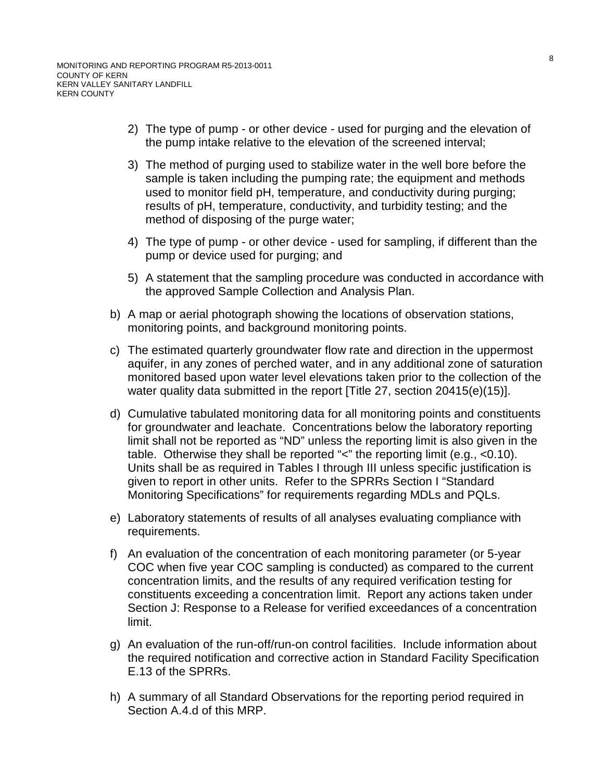- 2) The type of pump or other device used for purging and the elevation of the pump intake relative to the elevation of the screened interval;
- 3) The method of purging used to stabilize water in the well bore before the sample is taken including the pumping rate; the equipment and methods used to monitor field pH, temperature, and conductivity during purging; results of pH, temperature, conductivity, and turbidity testing; and the method of disposing of the purge water;
- 4) The type of pump or other device used for sampling, if different than the pump or device used for purging; and
- 5) A statement that the sampling procedure was conducted in accordance with the approved Sample Collection and Analysis Plan.
- b) A map or aerial photograph showing the locations of observation stations, monitoring points, and background monitoring points.
- c) The estimated quarterly groundwater flow rate and direction in the uppermost aquifer, in any zones of perched water, and in any additional zone of saturation monitored based upon water level elevations taken prior to the collection of the water quality data submitted in the report [Title 27, section 20415(e)(15)].
- d) Cumulative tabulated monitoring data for all monitoring points and constituents for groundwater and leachate. Concentrations below the laboratory reporting limit shall not be reported as "ND" unless the reporting limit is also given in the table. Otherwise they shall be reported " $\lt$ " the reporting limit (e.g.,  $\lt 0.10$ ). Units shall be as required in Tables I through III unless specific justification is given to report in other units. Refer to the SPRRs Section I "Standard Monitoring Specifications" for requirements regarding MDLs and PQLs.
- e) Laboratory statements of results of all analyses evaluating compliance with requirements.
- f) An evaluation of the concentration of each monitoring parameter (or 5-year COC when five year COC sampling is conducted) as compared to the current concentration limits, and the results of any required verification testing for constituents exceeding a concentration limit. Report any actions taken under Section J: Response to a Release for verified exceedances of a concentration limit.
- g) An evaluation of the run-off/run-on control facilities. Include information about the required notification and corrective action in Standard Facility Specification E.13 of the SPRRs.
- h) A summary of all Standard Observations for the reporting period required in Section A[.4.d](#page-17-0) of this MRP.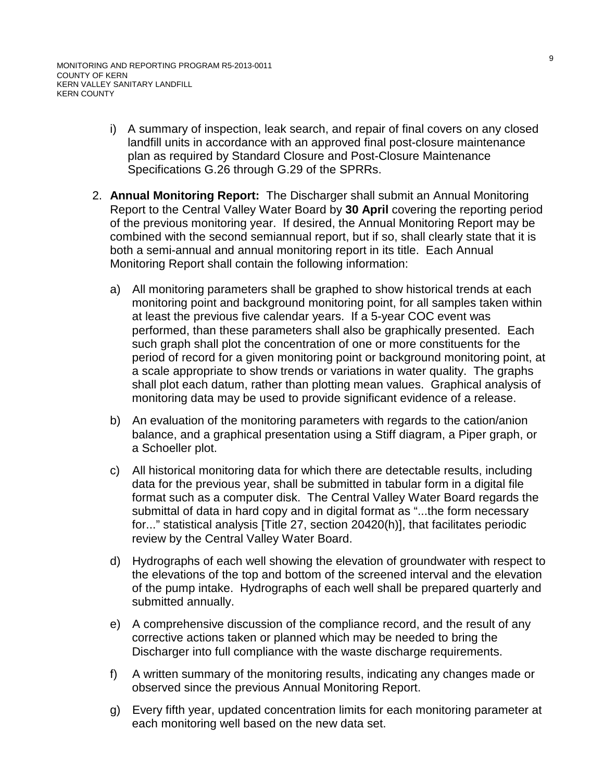- i) A summary of inspection, leak search, and repair of final covers on any closed landfill units in accordance with an approved final post-closure maintenance plan as required by Standard Closure and Post-Closure Maintenance Specifications G.26 through G.29 of the SPRRs.
- 2. **Annual Monitoring Report:** The Discharger shall submit an Annual Monitoring Report to the Central Valley Water Board by **30 April** covering the reporting period of the previous monitoring year. If desired, the Annual Monitoring Report may be combined with the second semiannual report, but if so, shall clearly state that it is both a semi-annual and annual monitoring report in its title. Each Annual Monitoring Report shall contain the following information:
	- a) All monitoring parameters shall be graphed to show historical trends at each monitoring point and background monitoring point, for all samples taken within at least the previous five calendar years. If a 5-year COC event was performed, than these parameters shall also be graphically presented. Each such graph shall plot the concentration of one or more constituents for the period of record for a given monitoring point or background monitoring point, at a scale appropriate to show trends or variations in water quality. The graphs shall plot each datum, rather than plotting mean values. Graphical analysis of monitoring data may be used to provide significant evidence of a release.
	- b) An evaluation of the monitoring parameters with regards to the cation/anion balance, and a graphical presentation using a Stiff diagram, a Piper graph, or a Schoeller plot.
	- c) All historical monitoring data for which there are detectable results, including data for the previous year, shall be submitted in tabular form in a digital file format such as a computer disk. The Central Valley Water Board regards the submittal of data in hard copy and in digital format as "...the form necessary for..." statistical analysis [Title 27, section 20420(h)], that facilitates periodic review by the Central Valley Water Board.
	- d) Hydrographs of each well showing the elevation of groundwater with respect to the elevations of the top and bottom of the screened interval and the elevation of the pump intake. Hydrographs of each well shall be prepared quarterly and submitted annually.
	- e) A comprehensive discussion of the compliance record, and the result of any corrective actions taken or planned which may be needed to bring the Discharger into full compliance with the waste discharge requirements.
	- f) A written summary of the monitoring results, indicating any changes made or observed since the previous Annual Monitoring Report.
	- g) Every fifth year, updated concentration limits for each monitoring parameter at each monitoring well based on the new data set.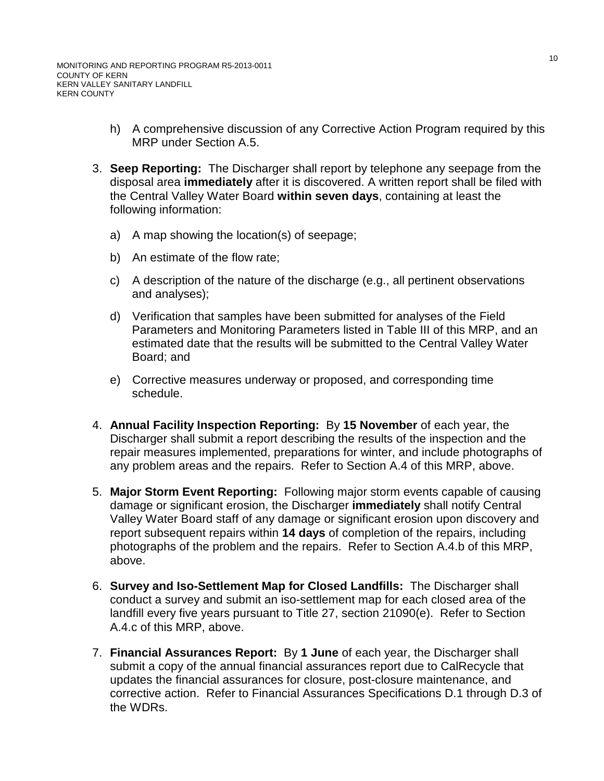- h) A comprehensive discussion of any Corrective Action Program required by this MRP under Section A.5.
- <span id="page-23-0"></span>3. **Seep Reporting:** The Discharger shall report by telephone any seepage from the disposal area **immediately** after it is discovered. A written report shall be filed with the Central Valley Water Board **within seven days**, containing at least the following information:
	- a) A map showing the location(s) of seepage;
	- b) An estimate of the flow rate;
	- c) A description of the nature of the discharge (e.g., all pertinent observations and analyses);
	- d) Verification that samples have been submitted for analyses of the Field Parameters and Monitoring Parameters listed in Table III of this MRP, and an estimated date that the results will be submitted to the Central Valley Water Board; and
	- e) Corrective measures underway or proposed, and corresponding time schedule.
- <span id="page-23-1"></span>4. **Annual Facility Inspection Reporting:** By **15 November** of each year, the Discharger shall submit a report describing the results of the inspection and the repair measures implemented, preparations for winter, and include photographs of any problem areas and the repairs. Refer to Section A[.4](#page-17-1) of this MRP, above.
- <span id="page-23-2"></span>5. **Major Storm Event Reporting:** Following major storm events capable of causing damage or significant erosion, the Discharger **immediately** shall notify Central Valley Water Board staff of any damage or significant erosion upon discovery and report subsequent repairs within **14 days** of completion of the repairs, including photographs of the problem and the repairs. Refer to Section A[.4.b](#page-17-2) of this MRP, above.
- <span id="page-23-3"></span>6. **Survey and Iso-Settlement Map for Closed Landfills:** The Discharger shall conduct a survey and submit an iso-settlement map for each closed area of the landfill every five years pursuant to Title 27, section 21090(e). Refer to Section A[.4.c](#page-17-3) of this MRP, above.
- 7. **Financial Assurances Report:** By **1 June** of each year, the Discharger shall submit a copy of the annual financial assurances report due to CalRecycle that updates the financial assurances for closure, post-closure maintenance, and corrective action. Refer to Financial Assurances Specifications D.1 through D.3 of the WDRs.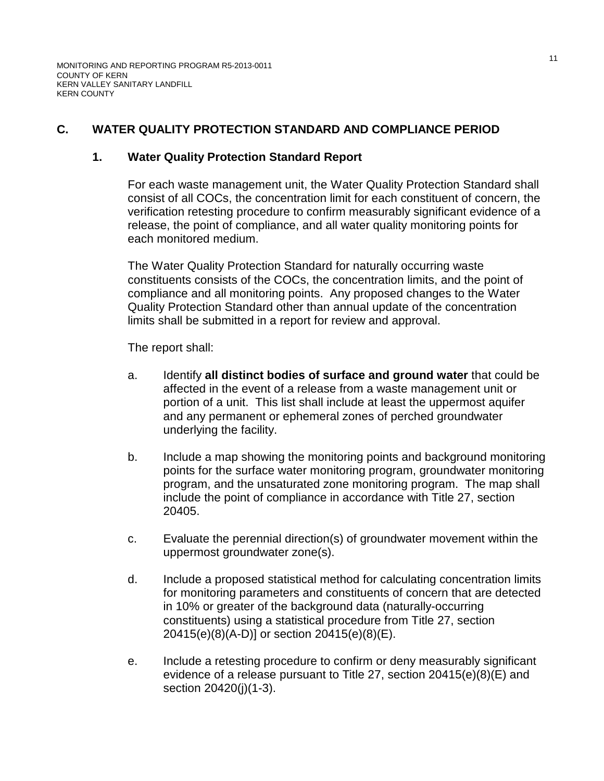# **C. WATER QUALITY PROTECTION STANDARD AND COMPLIANCE PERIOD**

## **1. Water Quality Protection Standard Report**

For each waste management unit, the Water Quality Protection Standard shall consist of all COCs, the concentration limit for each constituent of concern, the verification retesting procedure to confirm measurably significant evidence of a release, the point of compliance, and all water quality monitoring points for each monitored medium.

The Water Quality Protection Standard for naturally occurring waste constituents consists of the COCs, the concentration limits, and the point of compliance and all monitoring points. Any proposed changes to the Water Quality Protection Standard other than annual update of the concentration limits shall be submitted in a report for review and approval.

The report shall:

- a. Identify **all distinct bodies of surface and ground water** that could be affected in the event of a release from a waste management unit or portion of a unit. This list shall include at least the uppermost aquifer and any permanent or ephemeral zones of perched groundwater underlying the facility.
- b. Include a map showing the monitoring points and background monitoring points for the surface water monitoring program, groundwater monitoring program, and the unsaturated zone monitoring program. The map shall include the point of compliance in accordance with Title 27, section 20405.
- c. Evaluate the perennial direction(s) of groundwater movement within the uppermost groundwater zone(s).
- d. Include a proposed statistical method for calculating concentration limits for monitoring parameters and constituents of concern that are detected in 10% or greater of the background data (naturally-occurring constituents) using a statistical procedure from Title 27, section 20415(e)(8)(A-D)] or section 20415(e)(8)(E).
- e. Include a retesting procedure to confirm or deny measurably significant evidence of a release pursuant to Title 27, section 20415(e)(8)(E) and section 20420(j)(1-3).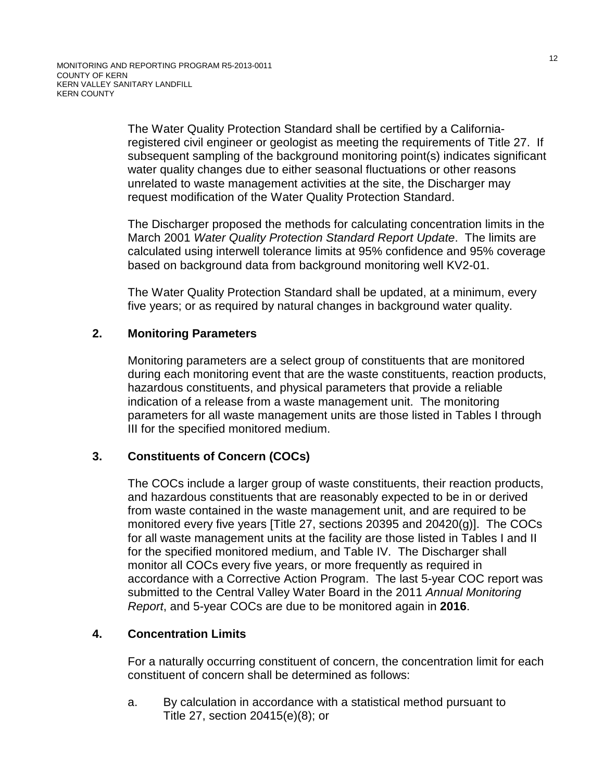The Water Quality Protection Standard shall be certified by a Californiaregistered civil engineer or geologist as meeting the requirements of Title 27. If subsequent sampling of the background monitoring point(s) indicates significant water quality changes due to either seasonal fluctuations or other reasons unrelated to waste management activities at the site, the Discharger may request modification of the Water Quality Protection Standard.

The Discharger proposed the methods for calculating concentration limits in the March 2001 *Water Quality Protection Standard Report Update*. The limits are calculated using interwell tolerance limits at 95% confidence and 95% coverage based on background data from background monitoring well KV2-01.

The Water Quality Protection Standard shall be updated, at a minimum, every five years; or as required by natural changes in background water quality.

# **2. Monitoring Parameters**

Monitoring parameters are a select group of constituents that are monitored during each monitoring event that are the waste constituents, reaction products, hazardous constituents, and physical parameters that provide a reliable indication of a release from a waste management unit. The monitoring parameters for all waste management units are those listed in Tables I through III for the specified monitored medium.

# **3. Constituents of Concern (COCs)**

The COCs include a larger group of waste constituents, their reaction products, and hazardous constituents that are reasonably expected to be in or derived from waste contained in the waste management unit, and are required to be monitored every five years [Title 27, sections 20395 and 20420(g)]. The COCs for all waste management units at the facility are those listed in Tables I and II for the specified monitored medium, and Table IV. The Discharger shall monitor all COCs every five years, or more frequently as required in accordance with a Corrective Action Program. The last 5-year COC report was submitted to the Central Valley Water Board in the 2011 *Annual Monitoring Report*, and 5-year COCs are due to be monitored again in **2016**.

# **4. Concentration Limits**

For a naturally occurring constituent of concern, the concentration limit for each constituent of concern shall be determined as follows:

a. By calculation in accordance with a statistical method pursuant to Title 27, section 20415(e)(8); or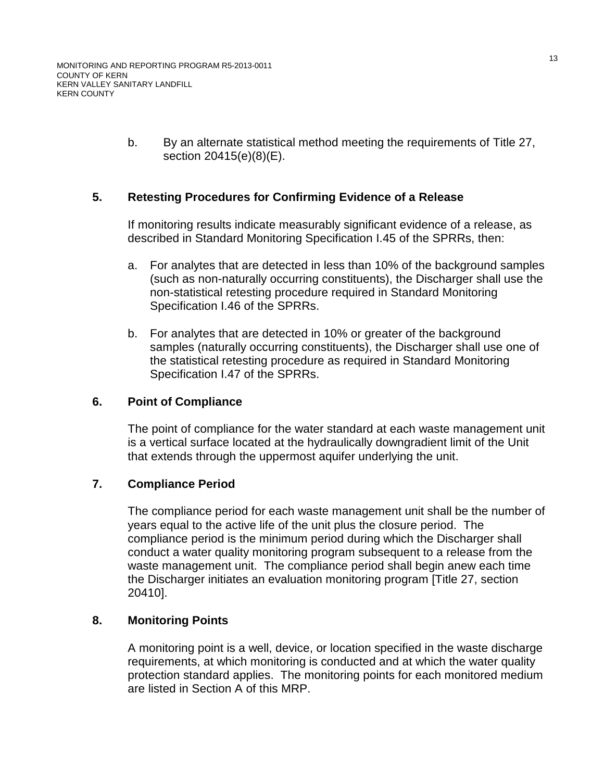b. By an alternate statistical method meeting the requirements of Title 27, section 20415(e)(8)(E).

# **5. Retesting Procedures for Confirming Evidence of a Release**

If monitoring results indicate measurably significant evidence of a release, as described in Standard Monitoring Specification I.45 of the SPRRs, then:

- a. For analytes that are detected in less than 10% of the background samples (such as non-naturally occurring constituents), the Discharger shall use the non-statistical retesting procedure required in Standard Monitoring Specification I.46 of the SPRRs.
- b. For analytes that are detected in 10% or greater of the background samples (naturally occurring constituents), the Discharger shall use one of the statistical retesting procedure as required in Standard Monitoring Specification I.47 of the SPRRs.

# **6. Point of Compliance**

The point of compliance for the water standard at each waste management unit is a vertical surface located at the hydraulically downgradient limit of the Unit that extends through the uppermost aquifer underlying the unit.

# **7. Compliance Period**

The compliance period for each waste management unit shall be the number of years equal to the active life of the unit plus the closure period. The compliance period is the minimum period during which the Discharger shall conduct a water quality monitoring program subsequent to a release from the waste management unit. The compliance period shall begin anew each time the Discharger initiates an evaluation monitoring program [Title 27, section 20410].

# **8. Monitoring Points**

A monitoring point is a well, device, or location specified in the waste discharge requirements, at which monitoring is conducted and at which the water quality protection standard applies. The monitoring points for each monitored medium are listed in Section A of this MRP.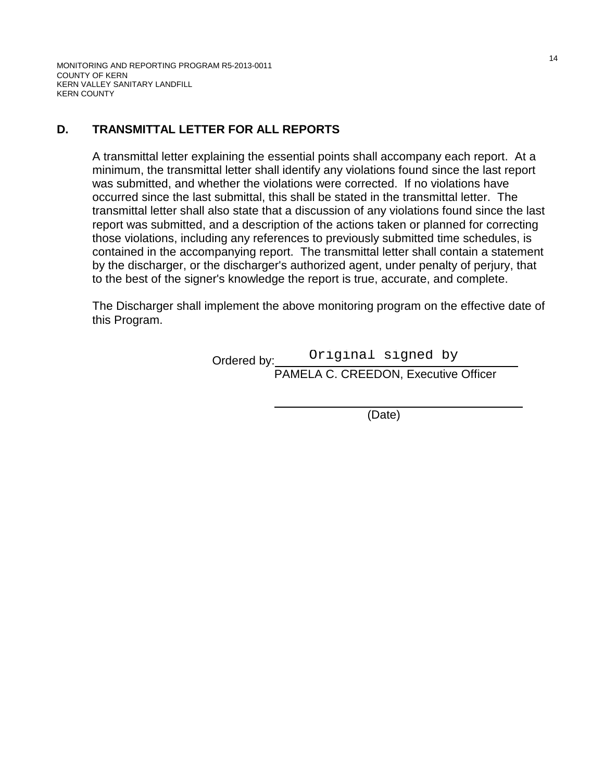MONITORING AND REPORTING PROGRAM R5-2013-0011 COUNTY OF KERN KERN VALLEY SANITARY LANDFILL KERN COUNTY

# **D. TRANSMITTAL LETTER FOR ALL REPORTS**

A transmittal letter explaining the essential points shall accompany each report. At a minimum, the transmittal letter shall identify any violations found since the last report was submitted, and whether the violations were corrected. If no violations have occurred since the last submittal, this shall be stated in the transmittal letter. The transmittal letter shall also state that a discussion of any violations found since the last report was submitted, and a description of the actions taken or planned for correcting those violations, including any references to previously submitted time schedules, is contained in the accompanying report. The transmittal letter shall contain a statement by the discharger, or the discharger's authorized agent, under penalty of perjury, that to the best of the signer's knowledge the report is true, accurate, and complete.

The Discharger shall implement the above monitoring program on the effective date of this Program.

Ordered by: Original signed by

PAMELA C. CREEDON, Executive Officer

 \_\_ (Date)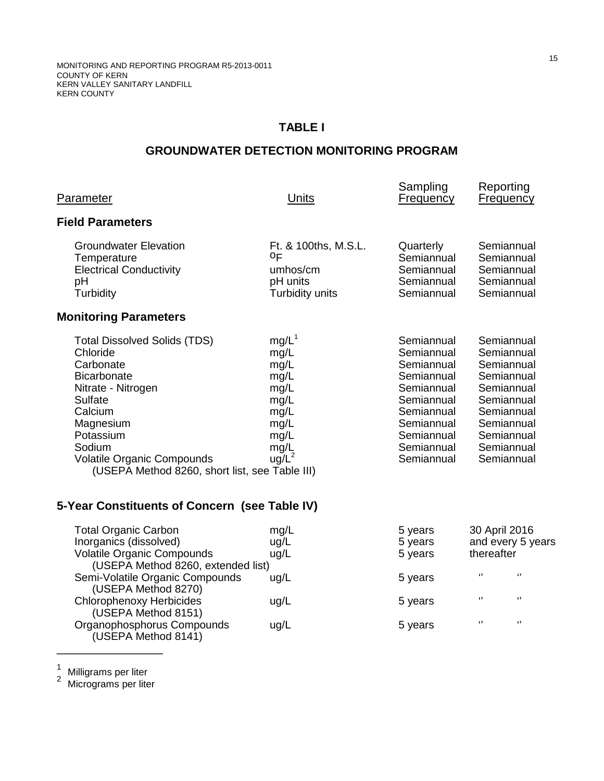# **TABLE I**

# **GROUNDWATER DETECTION MONITORING PROGRAM**

| <b>Parameter</b>                                                                                                                                                                                                                                                 | Units                                                                                                 | Sampling<br><b>Frequency</b>                                                                                                                           | Reporting<br><b>Frequency</b>                                                                                                                          |
|------------------------------------------------------------------------------------------------------------------------------------------------------------------------------------------------------------------------------------------------------------------|-------------------------------------------------------------------------------------------------------|--------------------------------------------------------------------------------------------------------------------------------------------------------|--------------------------------------------------------------------------------------------------------------------------------------------------------|
| <b>Field Parameters</b>                                                                                                                                                                                                                                          |                                                                                                       |                                                                                                                                                        |                                                                                                                                                        |
| <b>Groundwater Elevation</b><br>Temperature<br><b>Electrical Conductivity</b><br>pH<br>Turbidity                                                                                                                                                                 | Ft. & 100ths, M.S.L.<br>0F<br>umhos/cm<br>pH units<br>Turbidity units                                 | Quarterly<br>Semiannual<br>Semiannual<br>Semiannual<br>Semiannual                                                                                      | Semiannual<br>Semiannual<br>Semiannual<br>Semiannual<br>Semiannual                                                                                     |
| <b>Monitoring Parameters</b>                                                                                                                                                                                                                                     |                                                                                                       |                                                                                                                                                        |                                                                                                                                                        |
| <b>Total Dissolved Solids (TDS)</b><br>Chloride<br>Carbonate<br><b>Bicarbonate</b><br>Nitrate - Nitrogen<br><b>Sulfate</b><br>Calcium<br>Magnesium<br>Potassium<br>Sodium<br><b>Volatile Organic Compounds</b><br>(USEPA Method 8260, short list, see Table III) | mg/L <sup>1</sup><br>mg/L<br>mg/L<br>mg/L<br>mg/L<br>mg/L<br>mg/L<br>mg/L<br>mg/L<br>mg/L<br>$ug/L^2$ | Semiannual<br>Semiannual<br>Semiannual<br>Semiannual<br>Semiannual<br>Semiannual<br>Semiannual<br>Semiannual<br>Semiannual<br>Semiannual<br>Semiannual | Semiannual<br>Semiannual<br>Semiannual<br>Semiannual<br>Semiannual<br>Semiannual<br>Semiannual<br>Semiannual<br>Semiannual<br>Semiannual<br>Semiannual |
| 5-Year Constituents of Concern (see Table IV)                                                                                                                                                                                                                    |                                                                                                       |                                                                                                                                                        |                                                                                                                                                        |
| <b>Total Organic Carbon</b><br>Inorganics (dissolved)<br>Volatile Organic Compounds<br>(USEPA Method 8260, extended list)<br>Semi-Volatile Organic Compounds                                                                                                     | mg/L<br>ug/L<br>ug/L<br>$ln \alpha/l$                                                                 | 5 years<br>5 years<br>5 years<br>5 years                                                                                                               | 30 April 2016<br>and every 5 years<br>thereafter<br>$\sqrt{2}$<br>$\lceil$                                                                             |

| Semi-Volatile Organic Compounds                        | ug/L | 5 years |       | $^{1}$     |
|--------------------------------------------------------|------|---------|-------|------------|
| (USEPA Method 8270)<br><b>Chlorophenoxy Herbicides</b> | uq/L | 5 years | - 49  | $\epsilon$ |
| (USEPA Method 8151)<br>Organophosphorus Compounds      | ug/L | 5 years | $\lq$ | $\epsilon$ |
| (USEPA Method 8141)                                    |      |         |       |            |

\_\_\_\_\_\_\_\_\_\_\_\_\_\_\_\_

<sup>1</sup> Milligrams per liter<br><sup>2</sup> Micrograms per liter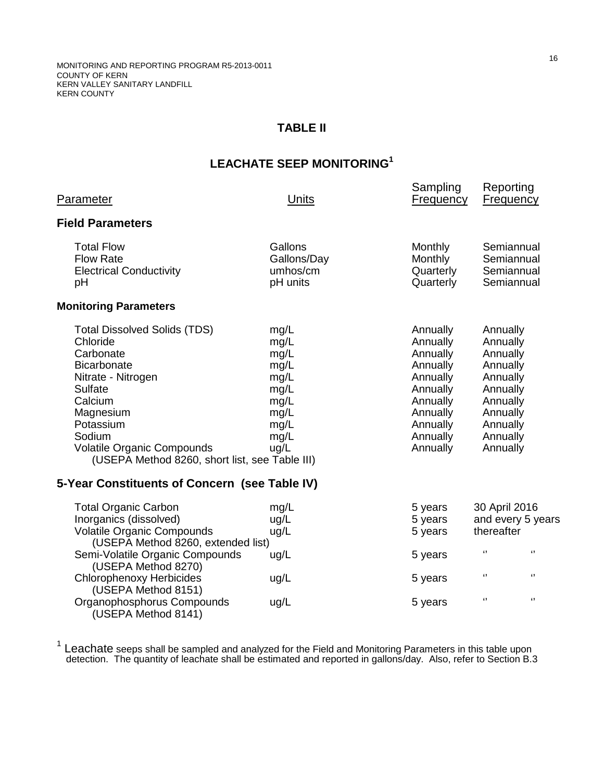# **TABLE II**

# **LEACHATE SEEP MONITORING<sup>1</sup>**

| Parameter                                                                                                                                                                                                                                                                                                  | Units                                                                                | Sampling<br><b>Frequency</b>                                                                                                     | Reporting                                                                                                                        | <b>Frequency</b>                                     |
|------------------------------------------------------------------------------------------------------------------------------------------------------------------------------------------------------------------------------------------------------------------------------------------------------------|--------------------------------------------------------------------------------------|----------------------------------------------------------------------------------------------------------------------------------|----------------------------------------------------------------------------------------------------------------------------------|------------------------------------------------------|
| <b>Field Parameters</b>                                                                                                                                                                                                                                                                                    |                                                                                      |                                                                                                                                  |                                                                                                                                  |                                                      |
| <b>Total Flow</b><br><b>Flow Rate</b><br><b>Electrical Conductivity</b><br>рH                                                                                                                                                                                                                              | Gallons<br>Gallons/Day<br>umhos/cm<br>pH units                                       | Monthly<br><b>Monthly</b><br>Quarterly<br>Quarterly                                                                              |                                                                                                                                  | Semiannual<br>Semiannual<br>Semiannual<br>Semiannual |
| <b>Monitoring Parameters</b>                                                                                                                                                                                                                                                                               |                                                                                      |                                                                                                                                  |                                                                                                                                  |                                                      |
| <b>Total Dissolved Solids (TDS)</b><br>Chloride<br>Carbonate<br><b>Bicarbonate</b><br>Nitrate - Nitrogen<br>Sulfate<br>Calcium<br>Magnesium<br>Potassium<br>Sodium<br><b>Volatile Organic Compounds</b><br>(USEPA Method 8260, short list, see Table III)<br>5-Year Constituents of Concern (see Table IV) | mg/L<br>mg/L<br>mg/L<br>mg/L<br>mg/L<br>mg/L<br>mg/L<br>mg/L<br>mg/L<br>mg/L<br>ug/L | Annually<br>Annually<br>Annually<br>Annually<br>Annually<br>Annually<br>Annually<br>Annually<br>Annually<br>Annually<br>Annually | Annually<br>Annually<br>Annually<br>Annually<br>Annually<br>Annually<br>Annually<br>Annually<br>Annually<br>Annually<br>Annually |                                                      |
| <b>Total Organic Carbon</b>                                                                                                                                                                                                                                                                                | mg/L                                                                                 | 5 years                                                                                                                          | 30 April 2016                                                                                                                    |                                                      |
| Inorganics (dissolved)<br><b>Volatile Organic Compounds</b><br>(USEPA Method 8260, extended list)                                                                                                                                                                                                          | ug/L<br>ug/L                                                                         | 5 years<br>5 years                                                                                                               | thereafter                                                                                                                       | and every 5 years                                    |
| Semi-Volatile Organic Compounds<br>(USEPA Method 8270)                                                                                                                                                                                                                                                     | ug/L                                                                                 | 5 years                                                                                                                          | $\boldsymbol{\mathsf{G}}$                                                                                                        | $\mathbf{G}$                                         |
| <b>Chlorophenoxy Herbicides</b><br>(USEPA Method 8151)                                                                                                                                                                                                                                                     | ug/L                                                                                 | 5 years                                                                                                                          | $\mathbf{G}$                                                                                                                     | $\blacksquare$                                       |
| Organophosphorus Compounds<br>(USEPA Method 8141)                                                                                                                                                                                                                                                          | ug/L                                                                                 | 5 years                                                                                                                          | $\mathbf{G}$                                                                                                                     | $\blacksquare$                                       |

 $1$  Leachate seeps shall be sampled and analyzed for the Field and Monitoring Parameters in this table upon detection. The quantity of leachate shall be estimated and reported in gallons/day. Also, refer to Section B[.3](#page-23-0)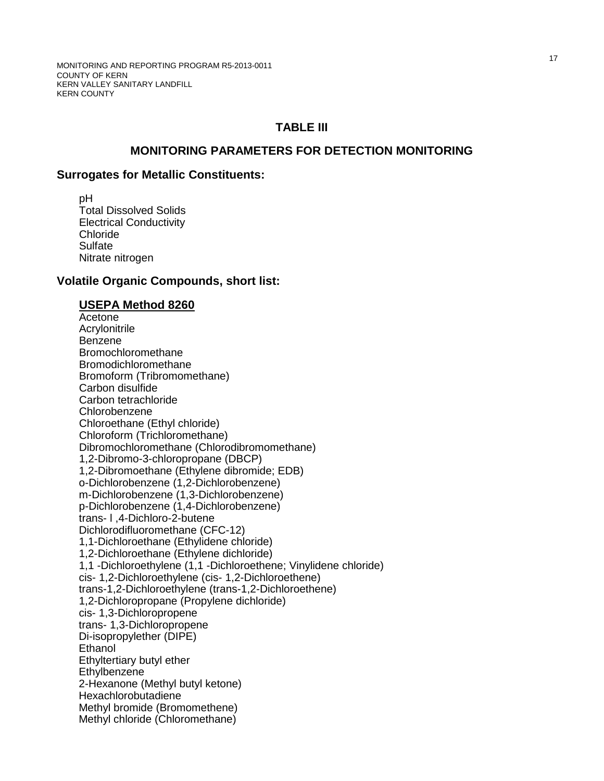## **TABLE III**

## **MONITORING PARAMETERS FOR DETECTION MONITORING**

#### **Surrogates for Metallic Constituents:**

 pH Total Dissolved Solids Electrical Conductivity Chloride **Sulfate** Nitrate nitrogen

### **Volatile Organic Compounds, short list:**

#### **USEPA Method 8260**

Acetone Acrylonitrile Benzene Bromochloromethane Bromodichloromethane Bromoform (Tribromomethane) Carbon disulfide Carbon tetrachloride Chlorobenzene Chloroethane (Ethyl chloride) Chloroform (Trichloromethane) Dibromochloromethane (Chlorodibromomethane) 1,2-Dibromo-3-chloropropane (DBCP) 1,2-Dibromoethane (Ethylene dibromide; EDB) o-Dichlorobenzene (1,2-Dichlorobenzene) m-Dichlorobenzene (1,3-Dichlorobenzene) p-Dichlorobenzene (1,4-Dichlorobenzene) trans- l ,4-Dichloro-2-butene Dichlorodifluoromethane (CFC-12) 1,1-Dichloroethane (Ethylidene chloride) 1,2-Dichloroethane (Ethylene dichloride) 1,1 -Dichloroethylene (1,1 -Dichloroethene; Vinylidene chloride) cis- 1,2-Dichloroethylene (cis- 1,2-Dichloroethene) trans-1,2-Dichloroethylene (trans-1,2-Dichloroethene) 1,2-Dichloropropane (Propylene dichloride) cis- 1,3-Dichloropropene trans- 1,3-Dichloropropene Di-isopropylether (DIPE) **Ethanol** Ethyltertiary butyl ether **Ethylbenzene**  2-Hexanone (Methyl butyl ketone) Hexachlorobutadiene Methyl bromide (Bromomethene) Methyl chloride (Chloromethane)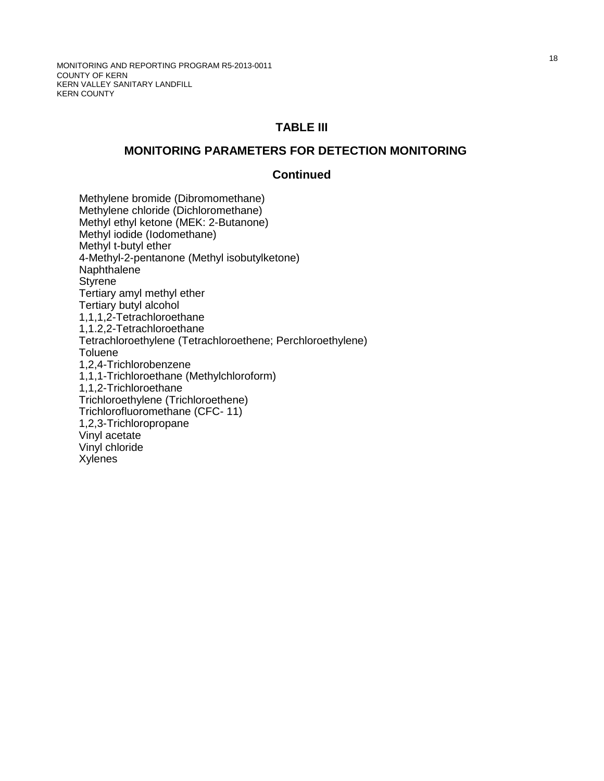## **TABLE III**

#### **MONITORING PARAMETERS FOR DETECTION MONITORING**

#### **Continued**

Methylene bromide (Dibromomethane) Methylene chloride (Dichloromethane) Methyl ethyl ketone (MEK: 2-Butanone) Methyl iodide (Iodomethane) Methyl t-butyl ether 4-Methyl-2-pentanone (Methyl isobutylketone) Naphthalene **Styrene** Tertiary amyl methyl ether Tertiary butyl alcohol 1,1,1,2-Tetrachloroethane 1,1.2,2-Tetrachloroethane Tetrachloroethylene (Tetrachloroethene; Perchloroethylene) **Toluene** 1,2,4-Trichlorobenzene 1,1,1-Trichloroethane (Methylchloroform) 1,1,2-Trichloroethane Trichloroethylene (Trichloroethene) Trichlorofluoromethane (CFC- 11) 1,2,3-Trichloropropane Vinyl acetate Vinyl chloride Xylenes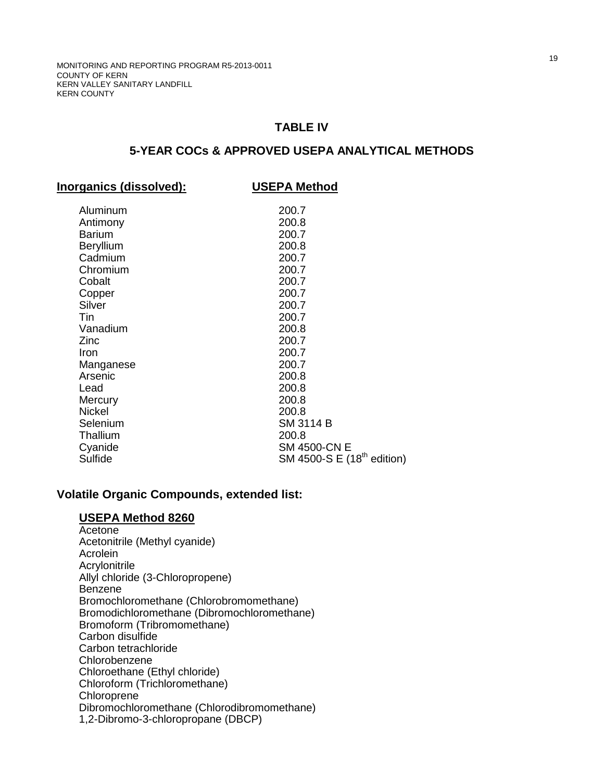## **TABLE IV**

## **5-YEAR COCs & APPROVED USEPA ANALYTICAL METHODS**

#### **Inorganics (dissolved): USEPA Method**

| Aluminum      | 200.7                                  |
|---------------|----------------------------------------|
| Antimony      | 200.8                                  |
| Barium        | 200.7                                  |
| Beryllium     | 200.8                                  |
| Cadmium       | 200.7                                  |
| Chromium      | 200.7                                  |
| Cobalt        | 200.7                                  |
| Copper        | 200.7                                  |
| Silver        | 200.7                                  |
| Tin           | 200.7                                  |
| Vanadium      | 200.8                                  |
| Zinc          | 200.7                                  |
| Iron          | 200.7                                  |
| Manganese     | 200.7                                  |
| Arsenic       | 200.8                                  |
| Lead          | 200.8                                  |
| Mercury       | 200.8                                  |
| <b>Nickel</b> | 200.8                                  |
| Selenium      | SM 3114 B                              |
| Thallium      | 200.8                                  |
| Cyanide       | <b>SM 4500-CN E</b>                    |
| Sulfide       | SM 4500-S E (18 <sup>th</sup> edition) |

## **Volatile Organic Compounds, extended list:**

### **USEPA Method 8260**

**Acetone** Acetonitrile (Methyl cyanide) Acrolein Acrylonitrile Allyl chloride (3-Chloropropene) Benzene Bromochloromethane (Chlorobromomethane) Bromodichloromethane (Dibromochloromethane) Bromoform (Tribromomethane) Carbon disulfide Carbon tetrachloride Chlorobenzene Chloroethane (Ethyl chloride) Chloroform (Trichloromethane) Chloroprene Dibromochloromethane (Chlorodibromomethane) 1,2-Dibromo-3-chloropropane (DBCP)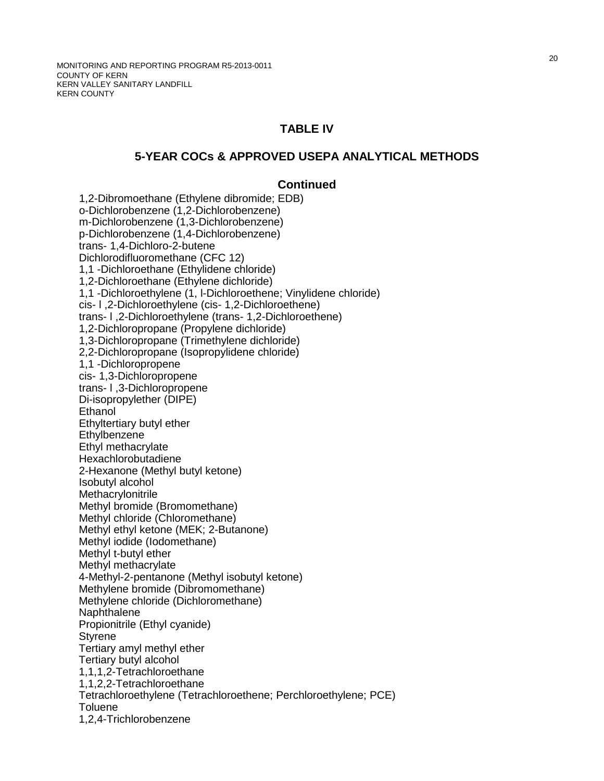## **TABLE IV**

### **5-YEAR COCs & APPROVED USEPA ANALYTICAL METHODS**

## **Continued**

1,2-Dibromoethane (Ethylene dibromide; EDB) o-Dichlorobenzene (1,2-Dichlorobenzene) m-Dichlorobenzene (1,3-Dichlorobenzene) p-Dichlorobenzene (1,4-Dichlorobenzene) trans- 1,4-Dichloro-2-butene Dichlorodifluoromethane (CFC 12) 1,1 -Dichloroethane (Ethylidene chloride) 1,2-Dichloroethane (Ethylene dichloride) 1,1 -Dichloroethylene (1, l-Dichloroethene; Vinylidene chloride) cis- l ,2-Dichloroethylene (cis- 1,2-Dichloroethene) trans- l ,2-Dichloroethylene (trans- 1,2-Dichloroethene) 1,2-Dichloropropane (Propylene dichloride) 1,3-Dichloropropane (Trimethylene dichloride) 2,2-Dichloropropane (Isopropylidene chloride) 1,1 -Dichloropropene cis- 1,3-Dichloropropene trans- l ,3-Dichloropropene Di-isopropylether (DIPE) **Ethanol** Ethyltertiary butyl ether **Ethylbenzene** Ethyl methacrylate Hexachlorobutadiene 2-Hexanone (Methyl butyl ketone) Isobutyl alcohol **Methacrylonitrile** Methyl bromide (Bromomethane) Methyl chloride (Chloromethane) Methyl ethyl ketone (MEK; 2-Butanone) Methyl iodide (Iodomethane) Methyl t-butyl ether Methyl methacrylate 4-Methyl-2-pentanone (Methyl isobutyl ketone) Methylene bromide (Dibromomethane) Methylene chloride (Dichloromethane) **Naphthalene** Propionitrile (Ethyl cyanide) **Styrene** Tertiary amyl methyl ether Tertiary butyl alcohol 1,1,1,2-Tetrachloroethane 1,1,2,2-Tetrachloroethane Tetrachloroethylene (Tetrachloroethene; Perchloroethylene; PCE) **Toluene** 1,2,4-Trichlorobenzene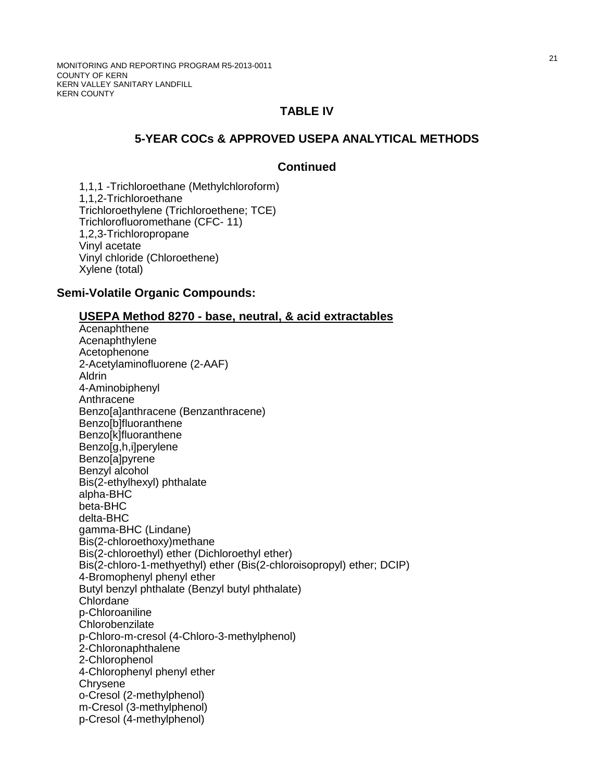MONITORING AND REPORTING PROGRAM R5-2013-0011 COUNTY OF KERN KERN VALLEY SANITARY LANDFILL KERN COUNTY

## **TABLE IV**

## **5-YEAR COCs & APPROVED USEPA ANALYTICAL METHODS**

#### **Continued**

1,1,1 -Trichloroethane (Methylchloroform) 1,1,2-Trichloroethane Trichloroethylene (Trichloroethene; TCE) Trichlorofluoromethane (CFC- 11) 1,2,3-Trichloropropane Vinyl acetate Vinyl chloride (Chloroethene) Xylene (total)

#### **Semi-Volatile Organic Compounds:**

#### **USEPA Method 8270 - base, neutral, & acid extractables**

Acenaphthene Acenaphthylene Acetophenone 2-Acetylaminofluorene (2-AAF) Aldrin 4-Aminobiphenyl Anthracene Benzo[a]anthracene (Benzanthracene) Benzo[b]fluoranthene Benzo[k]fluoranthene Benzo[g,h,i]perylene Benzo[a]pyrene Benzyl alcohol Bis(2-ethylhexyl) phthalate alpha-BHC beta-BHC delta-BHC gamma-BHC (Lindane) Bis(2-chloroethoxy)methane Bis(2-chloroethyl) ether (Dichloroethyl ether) Bis(2-chloro-1-methyethyl) ether (Bis(2-chloroisopropyl) ether; DCIP) 4-Bromophenyl phenyl ether Butyl benzyl phthalate (Benzyl butyl phthalate) Chlordane p-Chloroaniline **Chlorobenzilate** p-Chloro-m-cresol (4-Chloro-3-methylphenol) 2-Chloronaphthalene 2-Chlorophenol 4-Chlorophenyl phenyl ether **Chrysene** o-Cresol (2-methylphenol) m-Cresol (3-methylphenol) p-Cresol (4-methylphenol)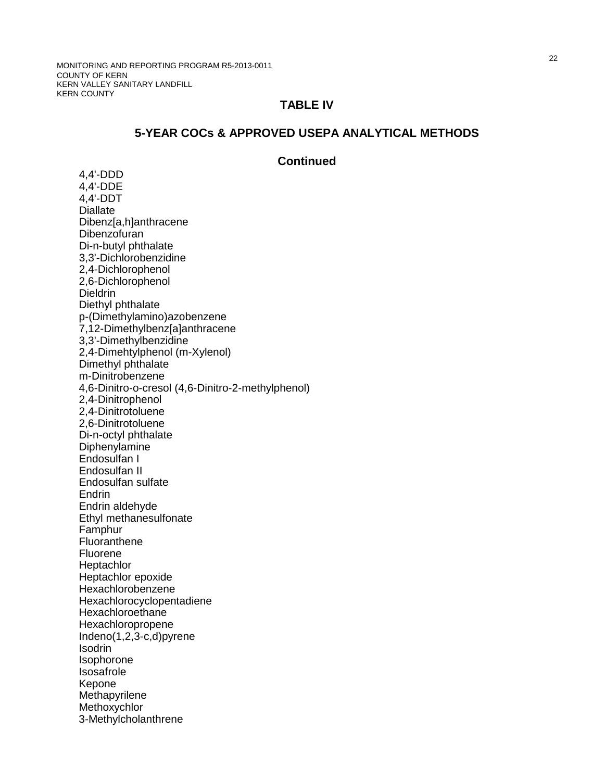## **TABLE IV**

## **5-YEAR COCs & APPROVED USEPA ANALYTICAL METHODS**

### **Continued**

4,4'-DDD 4,4'-DDE 4,4'-DDT **Diallate** Dibenz[a,h]anthracene Dibenzofuran Di-n-butyl phthalate 3,3'-Dichlorobenzidine 2,4-Dichlorophenol 2,6-Dichlorophenol **Dieldrin** Diethyl phthalate p-(Dimethylamino)azobenzene 7,12-Dimethylbenz[a]anthracene 3,3'-Dimethylbenzidine 2,4-Dimehtylphenol (m-Xylenol) Dimethyl phthalate m-Dinitrobenzene 4,6-Dinitro-o-cresol (4,6-Dinitro-2-methylphenol) 2,4-Dinitrophenol 2,4-Dinitrotoluene 2,6-Dinitrotoluene Di-n-octyl phthalate **Diphenylamine** Endosulfan I Endosulfan II Endosulfan sulfate **Endrin** Endrin aldehyde Ethyl methanesulfonate Famphur Fluoranthene Fluorene **Heptachlor** Heptachlor epoxide Hexachlorobenzene Hexachlorocyclopentadiene **Hexachloroethane** Hexachloropropene Indeno(1,2,3-c,d)pyrene Isodrin Isophorone Isosafrole Kepone **Methapyrilene Methoxychlor** 3-Methylcholanthrene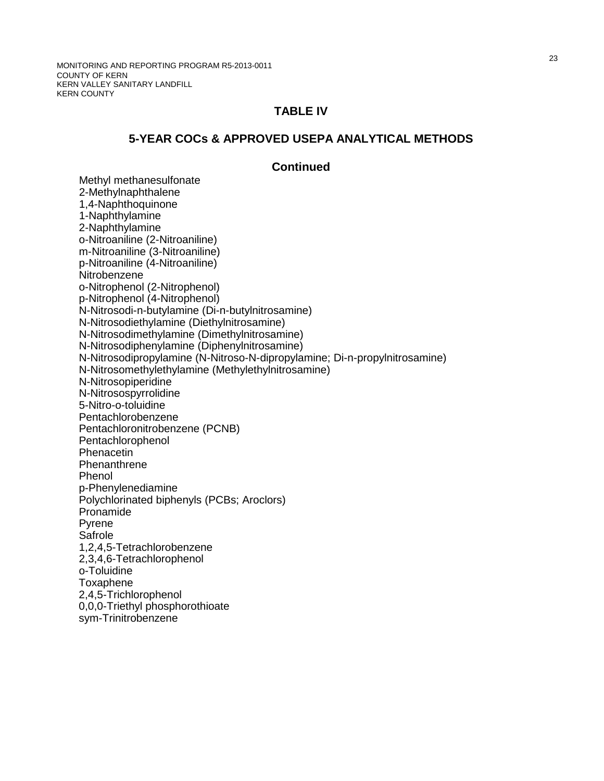MONITORING AND REPORTING PROGRAM R5-2013-0011 COUNTY OF KERN KERN VALLEY SANITARY LANDFILL KERN COUNTY

## **TABLE IV**

#### **5-YEAR COCs & APPROVED USEPA ANALYTICAL METHODS**

#### **Continued**

Methyl methanesulfonate 2-Methylnaphthalene 1,4-Naphthoquinone 1-Naphthylamine 2-Naphthylamine o-Nitroaniline (2-Nitroaniline) m-Nitroaniline (3-Nitroaniline) p-Nitroaniline (4-Nitroaniline) **Nitrobenzene**  o-Nitrophenol (2-Nitrophenol) p-Nitrophenol (4-Nitrophenol) N-Nitrosodi-n-butylamine (Di-n-butylnitrosamine) N-Nitrosodiethylamine (Diethylnitrosamine) N-Nitrosodimethylamine (Dimethylnitrosamine) N-Nitrosodiphenylamine (Diphenylnitrosamine) N-Nitrosodipropylamine (N-Nitroso-N-dipropylamine; Di-n-propylnitrosamine) N-Nitrosomethylethylamine (Methylethylnitrosamine) N-Nitrosopiperidine N-Nitrosospyrrolidine 5-Nitro-o-toluidine Pentachlorobenzene Pentachloronitrobenzene (PCNB) Pentachlorophenol Phenacetin **Phenanthrene** Phenol p-Phenylenediamine Polychlorinated biphenyls (PCBs; Aroclors) Pronamide Pyrene Safrole 1,2,4,5-Tetrachlorobenzene 2,3,4,6-Tetrachlorophenol o-Toluidine Toxaphene 2,4,5-Trichlorophenol 0,0,0-Triethyl phosphorothioate sym-Trinitrobenzene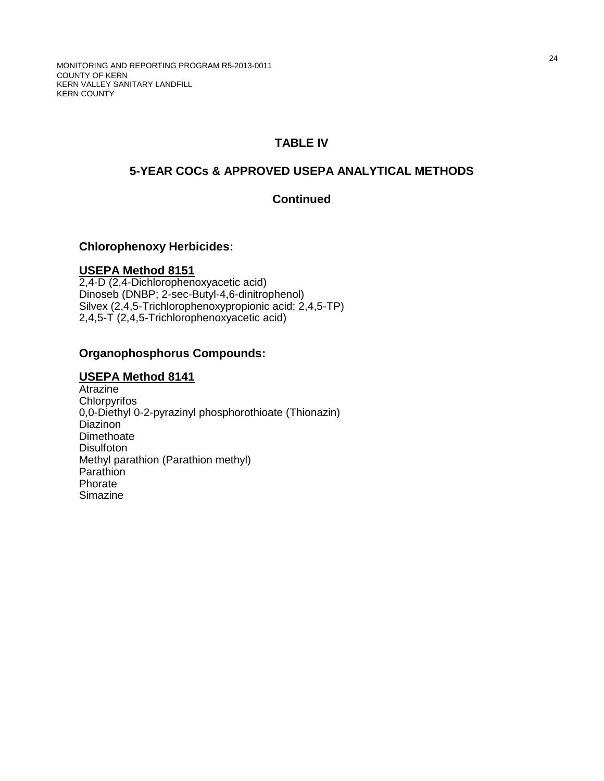# **TABLE IV**

# **5-YEAR COCs & APPROVED USEPA ANALYTICAL METHODS**

## **Continued**

### **Chlorophenoxy Herbicides:**

## **USEPA Method 8151**

2,4-D (2,4-Dichlorophenoxyacetic acid) Dinoseb (DNBP; 2-sec-Butyl-4,6-dinitrophenol) Silvex (2,4,5-Trichlorophenoxypropionic acid; 2,4,5-TP) 2,4,5-T (2,4,5-Trichlorophenoxyacetic acid)

## **Organophosphorus Compounds:**

### **USEPA Method 8141**

**Atrazine Chlorpyrifos** 0,0-Diethyl 0-2-pyrazinyl phosphorothioate (Thionazin) Diazinon Dimethoate **Disulfoton** Methyl parathion (Parathion methyl) Parathion Phorate Simazine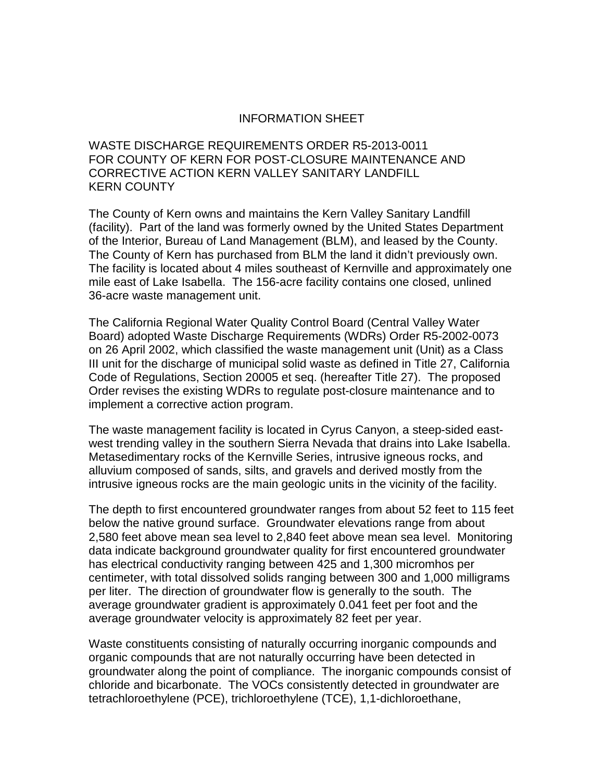## INFORMATION SHEET

WASTE DISCHARGE REQUIREMENTS ORDER R5-2013-0011 FOR COUNTY OF KERN FOR POST-CLOSURE MAINTENANCE AND CORRECTIVE ACTION KERN VALLEY SANITARY LANDFILL KERN COUNTY

The County of Kern owns and maintains the Kern Valley Sanitary Landfill (facility). Part of the land was formerly owned by the United States Department of the Interior, Bureau of Land Management (BLM), and leased by the County. The County of Kern has purchased from BLM the land it didn't previously own. The facility is located about 4 miles southeast of Kernville and approximately one mile east of Lake Isabella. The 156-acre facility contains one closed, unlined 36-acre waste management unit.

The California Regional Water Quality Control Board (Central Valley Water Board) adopted Waste Discharge Requirements (WDRs) Order R5-2002-0073 on 26 April 2002, which classified the waste management unit (Unit) as a Class III unit for the discharge of municipal solid waste as defined in Title 27, California Code of Regulations, Section 20005 et seq. (hereafter Title 27). The proposed Order revises the existing WDRs to regulate post-closure maintenance and to implement a corrective action program.

The waste management facility is located in Cyrus Canyon, a steep-sided eastwest trending valley in the southern Sierra Nevada that drains into Lake Isabella. Metasedimentary rocks of the Kernville Series, intrusive igneous rocks, and alluvium composed of sands, silts, and gravels and derived mostly from the intrusive igneous rocks are the main geologic units in the vicinity of the facility.

The depth to first encountered groundwater ranges from about 52 feet to 115 feet below the native ground surface. Groundwater elevations range from about 2,580 feet above mean sea level to 2,840 feet above mean sea level. Monitoring data indicate background groundwater quality for first encountered groundwater has electrical conductivity ranging between 425 and 1,300 micromhos per centimeter, with total dissolved solids ranging between 300 and 1,000 milligrams per liter. The direction of groundwater flow is generally to the south. The average groundwater gradient is approximately 0.041 feet per foot and the average groundwater velocity is approximately 82 feet per year.

Waste constituents consisting of naturally occurring inorganic compounds and organic compounds that are not naturally occurring have been detected in groundwater along the point of compliance. The inorganic compounds consist of chloride and bicarbonate. The VOCs consistently detected in groundwater are tetrachloroethylene (PCE), trichloroethylene (TCE), 1,1-dichloroethane,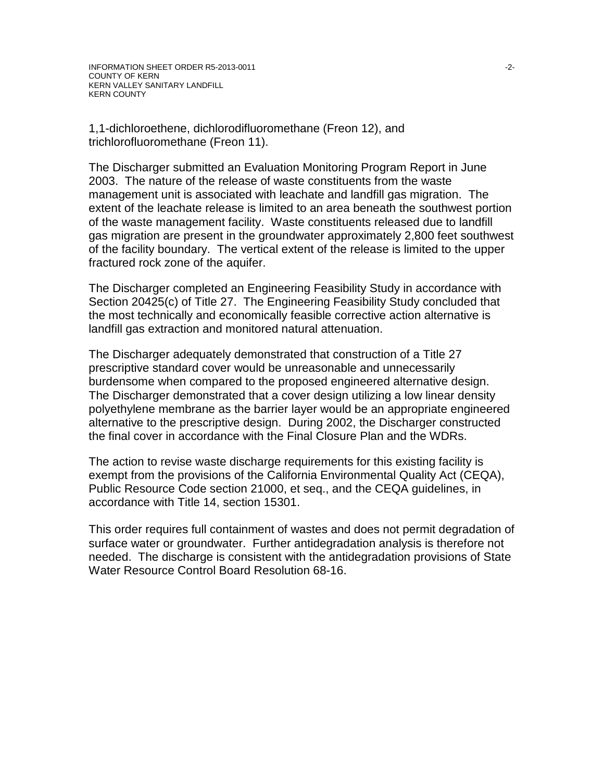1,1-dichloroethene, dichlorodifluoromethane (Freon 12), and trichlorofluoromethane (Freon 11).

The Discharger submitted an Evaluation Monitoring Program Report in June 2003. The nature of the release of waste constituents from the waste management unit is associated with leachate and landfill gas migration. The extent of the leachate release is limited to an area beneath the southwest portion of the waste management facility. Waste constituents released due to landfill gas migration are present in the groundwater approximately 2,800 feet southwest of the facility boundary. The vertical extent of the release is limited to the upper fractured rock zone of the aquifer.

The Discharger completed an Engineering Feasibility Study in accordance with Section 20425(c) of Title 27. The Engineering Feasibility Study concluded that the most technically and economically feasible corrective action alternative is landfill gas extraction and monitored natural attenuation.

The Discharger adequately demonstrated that construction of a Title 27 prescriptive standard cover would be unreasonable and unnecessarily burdensome when compared to the proposed engineered alternative design. The Discharger demonstrated that a cover design utilizing a low linear density polyethylene membrane as the barrier layer would be an appropriate engineered alternative to the prescriptive design. During 2002, the Discharger constructed the final cover in accordance with the Final Closure Plan and the WDRs.

The action to revise waste discharge requirements for this existing facility is exempt from the provisions of the California Environmental Quality Act (CEQA), Public Resource Code section 21000, et seq., and the CEQA guidelines, in accordance with Title 14, section 15301.

This order requires full containment of wastes and does not permit degradation of surface water or groundwater. Further antidegradation analysis is therefore not needed. The discharge is consistent with the antidegradation provisions of State Water Resource Control Board Resolution 68-16.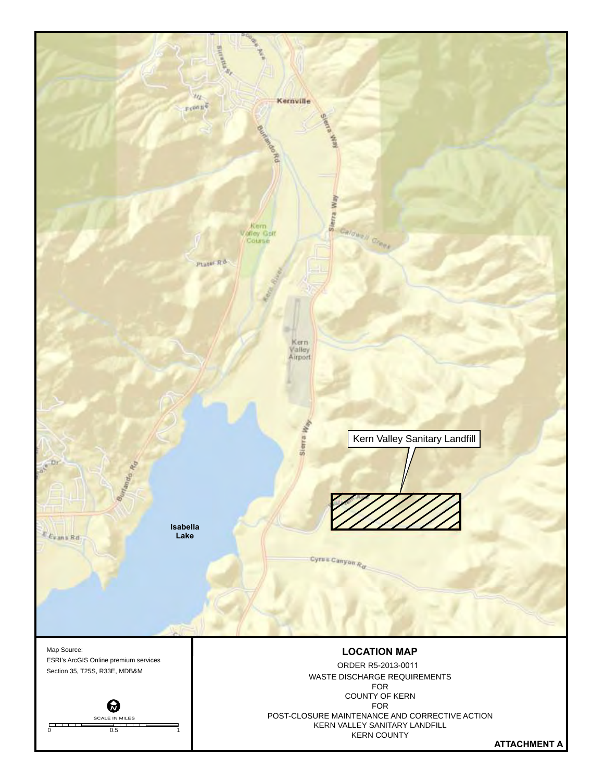

**ATTACHMENT A**